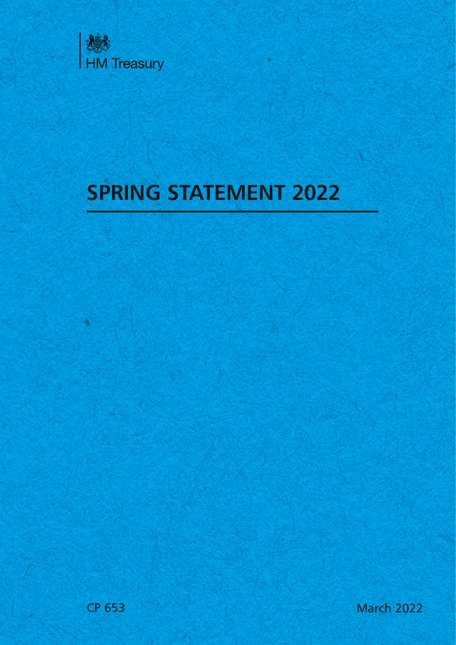

# **SPRING STATEMENT 2022**

CP 653 March 2022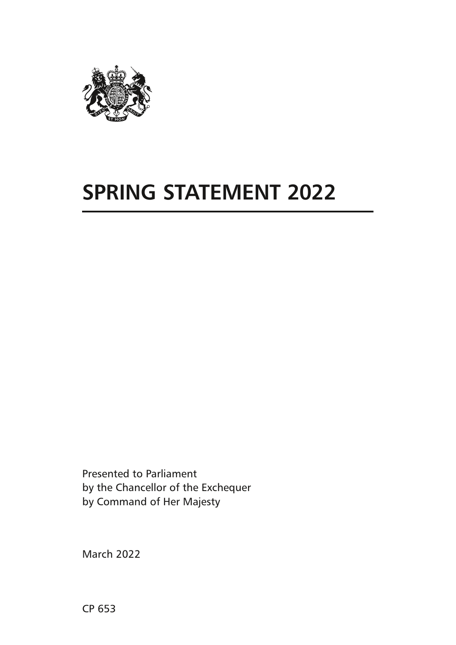

# **SPRING STATEMENT 2022**

Presented to Parliament by the Chancellor of the Exchequer by Command of Her Majesty

March 2022

CP 653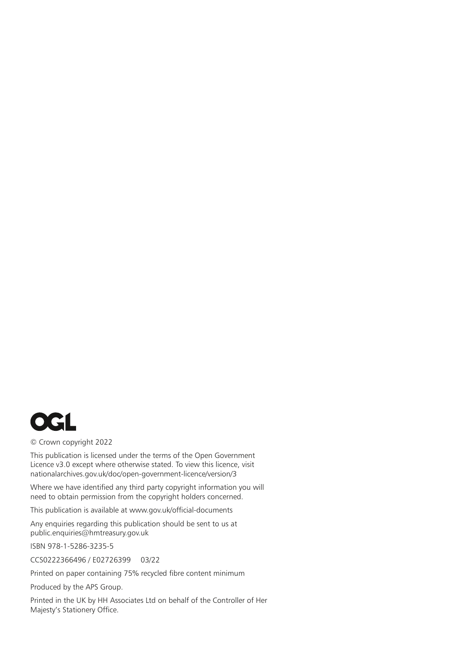

© Crown copyright 2022

This publication is licensed under the terms of the Open Government Licence v3.0 except where otherwise stated. To view this licence, visit [nationalarchives.gov.uk/doc/open-government-licence/version/3](http://www.nationalarchives.gov.uk/doc/open-government-licence/version/3)

Where we have identified any third party copyright information you will need to obtain permission from the copyright holders concerned.

This publication is available at [www.gov.uk/official-documents](http://www.gov.uk/official-documents)

Any enquiries regarding this publication should be sent to us at [public.enquiries@hmtreasury.gov.uk](mailto:public.enquiries%40hmtreasury.gov.uk?subject=)

ISBN 978-1-5286-3235-5

CCS0222366496 / E02726399 03/22

Printed on paper containing 75% recycled fibre content minimum

Produced by the APS Group.

Printed in the UK by HH Associates Ltd on behalf of the Controller of Her Majesty's Stationery Office.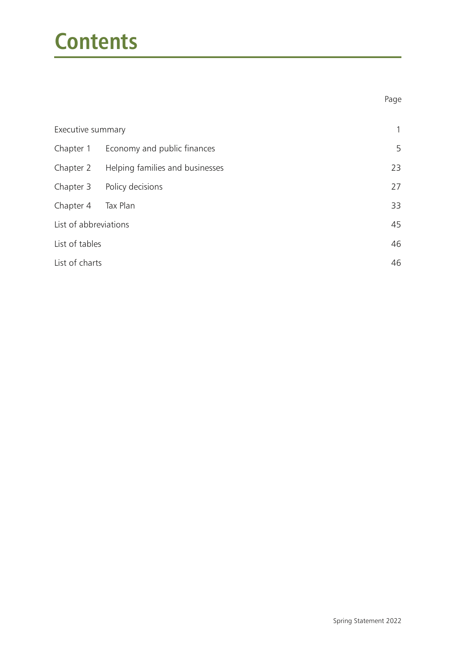# **Contents**

| Executive summary     | 1                                     |    |  |  |  |  |
|-----------------------|---------------------------------------|----|--|--|--|--|
|                       | Chapter 1 Economy and public finances | 5  |  |  |  |  |
| Chapter 2             | Helping families and businesses       | 23 |  |  |  |  |
|                       | Chapter 3 Policy decisions            | 27 |  |  |  |  |
| Chapter 4             | Tax Plan                              | 33 |  |  |  |  |
| List of abbreviations |                                       | 45 |  |  |  |  |
| List of tables        |                                       |    |  |  |  |  |
| List of charts        |                                       |    |  |  |  |  |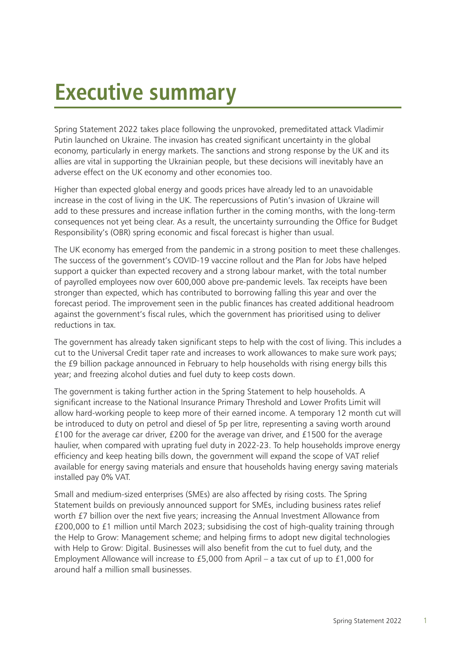# **Executive summary**

Spring Statement 2022 takes place following the unprovoked, premeditated attack Vladimir Putin launched on Ukraine. The invasion has created significant uncertainty in the global economy, particularly in energy markets. The sanctions and strong response by the UK and its allies are vital in supporting the Ukrainian people, but these decisions will inevitably have an adverse effect on the UK economy and other economies too.

Higher than expected global energy and goods prices have already led to an unavoidable increase in the cost of living in the UK. The repercussions of Putin's invasion of Ukraine will add to these pressures and increase inflation further in the coming months, with the long-term consequences not yet being clear. As a result, the uncertainty surrounding the Office for Budget Responsibility's (OBR) spring economic and fiscal forecast is higher than usual.

The UK economy has emerged from the pandemic in a strong position to meet these challenges. The success of the government's COVID-19 vaccine rollout and the Plan for Jobs have helped support a quicker than expected recovery and a strong labour market, with the total number of payrolled employees now over 600,000 above pre-pandemic levels. Tax receipts have been stronger than expected, which has contributed to borrowing falling this year and over the forecast period. The improvement seen in the public finances has created additional headroom against the government's fiscal rules, which the government has prioritised using to deliver reductions in tax.

The government has already taken significant steps to help with the cost of living. This includes a cut to the Universal Credit taper rate and increases to work allowances to make sure work pays; the £9 billion package announced in February to help households with rising energy bills this year; and freezing alcohol duties and fuel duty to keep costs down.

The government is taking further action in the Spring Statement to help households. A significant increase to the National Insurance Primary Threshold and Lower Profits Limit will allow hard-working people to keep more of their earned income. A temporary 12 month cut will be introduced to duty on petrol and diesel of 5p per litre, representing a saving worth around £100 for the average car driver, £200 for the average van driver, and £1500 for the average haulier, when compared with uprating fuel duty in 2022-23. To help households improve energy efficiency and keep heating bills down, the government will expand the scope of VAT relief available for energy saving materials and ensure that households having energy saving materials installed pay 0% VAT.

Small and medium-sized enterprises (SMEs) are also affected by rising costs. The Spring Statement builds on previously announced support for SMEs, including business rates relief worth £7 billion over the next five years; increasing the Annual Investment Allowance from £200,000 to £1 million until March 2023; subsidising the cost of high-quality training through the Help to Grow: Management scheme; and helping firms to adopt new digital technologies with Help to Grow: Digital. Businesses will also benefit from the cut to fuel duty, and the Employment Allowance will increase to £5,000 from April – a tax cut of up to £1,000 for around half a million small businesses.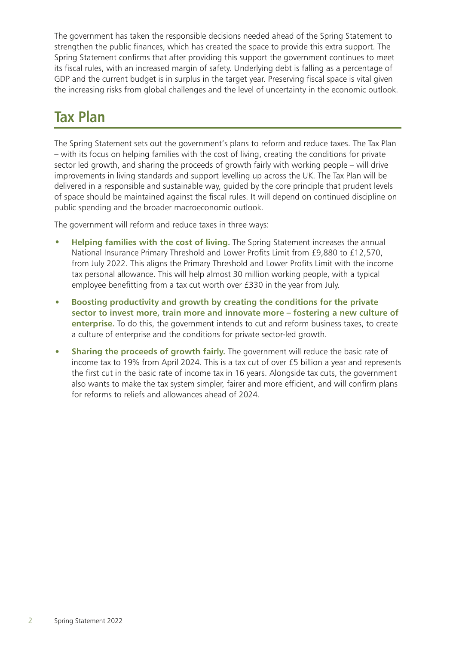The government has taken the responsible decisions needed ahead of the Spring Statement to strengthen the public finances, which has created the space to provide this extra support. The Spring Statement confirms that after providing this support the government continues to meet its fiscal rules, with an increased margin of safety. Underlying debt is falling as a percentage of GDP and the current budget is in surplus in the target year. Preserving fiscal space is vital given the increasing risks from global challenges and the level of uncertainty in the economic outlook.

# **Tax Plan**

The Spring Statement sets out the government's plans to reform and reduce taxes. The Tax Plan – with its focus on helping families with the cost of living, creating the conditions for private sector led growth, and sharing the proceeds of growth fairly with working people – will drive improvements in living standards and support levelling up across the UK. The Tax Plan will be delivered in a responsible and sustainable way, guided by the core principle that prudent levels of space should be maintained against the fiscal rules. It will depend on continued discipline on public spending and the broader macroeconomic outlook.

The government will reform and reduce taxes in three ways:

- **Helping families with the cost of living.** The Spring Statement increases the annual National Insurance Primary Threshold and Lower Profits Limit from £9,880 to £12,570, from July 2022. This aligns the Primary Threshold and Lower Profits Limit with the income tax personal allowance. This will help almost 30 million working people, with a typical employee benefitting from a tax cut worth over £330 in the year from July.
- **Boosting productivity and growth by creating the conditions for the private sector to invest more, train more and innovate more – fostering a new culture of enterprise.** To do this, the government intends to cut and reform business taxes, to create a culture of enterprise and the conditions for private sector-led growth.
- **Sharing the proceeds of growth fairly.** The government will reduce the basic rate of income tax to 19% from April 2024. This is a tax cut of over £5 billion a year and represents the first cut in the basic rate of income tax in 16 years. Alongside tax cuts, the government also wants to make the tax system simpler, fairer and more efficient, and will confirm plans for reforms to reliefs and allowances ahead of 2024.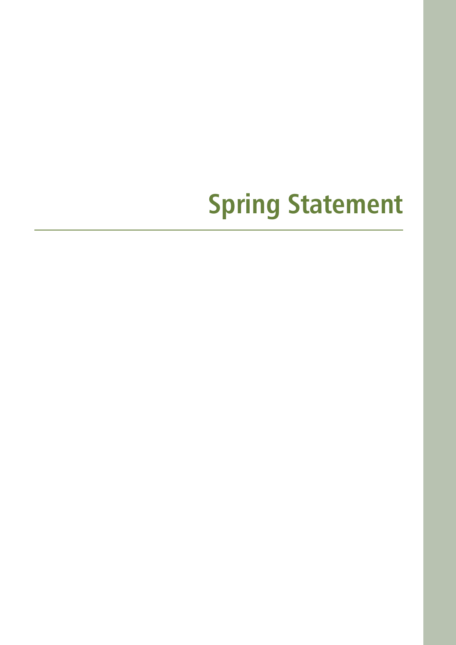# **Spring Statement**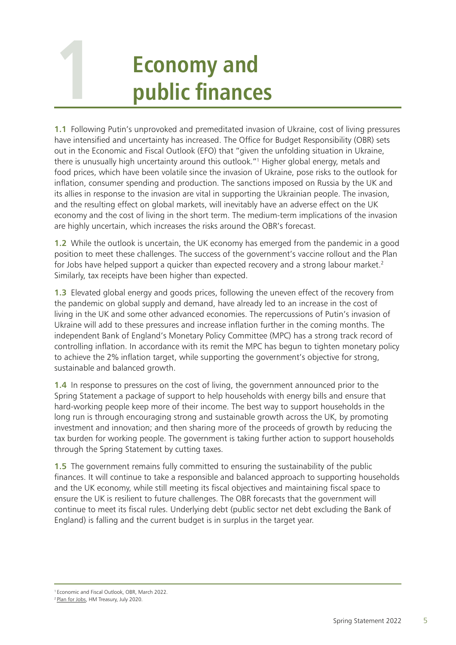# **Economy and public finances**

<span id="page-9-0"></span>**1**

**1.1** Following Putin's unprovoked and premeditated invasion of Ukraine, cost of living pressures have intensified and uncertainty has increased. The Office for Budget Responsibility (OBR) sets out in the Economic and Fiscal Outlook (EFO) that "given the unfolding situation in Ukraine, there is unusually high uncertainty around this outlook."<sup>1</sup> Higher global energy, metals and food prices, which have been volatile since the invasion of Ukraine, pose risks to the outlook for inflation, consumer spending and production. The sanctions imposed on Russia by the UK and its allies in response to the invasion are vital in supporting the Ukrainian people. The invasion, and the resulting effect on global markets, will inevitably have an adverse effect on the UK economy and the cost of living in the short term. The medium-term implications of the invasion are highly uncertain, which increases the risks around the OBR's forecast.

**1.2** While the outlook is uncertain, the UK economy has emerged from the pandemic in a good position to meet these challenges. The success of the government's vaccine rollout and the Plan for Jobs have helped support a quicker than expected recovery and a strong labour market.<sup>2</sup> Similarly, tax receipts have been higher than expected.

**1.3** Elevated global energy and goods prices, following the uneven effect of the recovery from the pandemic on global supply and demand, have already led to an increase in the cost of living in the UK and some other advanced economies. The repercussions of Putin's invasion of Ukraine will add to these pressures and increase inflation further in the coming months. The independent Bank of England's Monetary Policy Committee (MPC) has a strong track record of controlling inflation. In accordance with its remit the MPC has begun to tighten monetary policy to achieve the 2% inflation target, while supporting the government's objective for strong, sustainable and balanced growth.

**1.4** In response to pressures on the cost of living, the government announced prior to the Spring Statement a package of support to help households with energy bills and ensure that hard-working people keep more of their income. The best way to support households in the long run is through encouraging strong and sustainable growth across the UK, by promoting investment and innovation; and then sharing more of the proceeds of growth by reducing the tax burden for working people. The government is taking further action to support households through the Spring Statement by cutting taxes.

**1.5** The government remains fully committed to ensuring the sustainability of the public finances. It will continue to take a responsible and balanced approach to supporting households and the UK economy, while still meeting its fiscal objectives and maintaining fiscal space to ensure the UK is resilient to future challenges. The OBR forecasts that the government will continue to meet its fiscal rules. Underlying debt (public sector net debt excluding the Bank of England) is falling and the current budget is in surplus in the target year.

<sup>1</sup> Economic and Fiscal Outlook, OBR, March 2022.

<sup>2</sup> [Plan for Jobs](https://assets.publishing.service.gov.uk/government/uploads/system/uploads/attachment_data/file/898421/A_Plan_for_Jobs__Web_.pdf), HM Treasury, July 2020.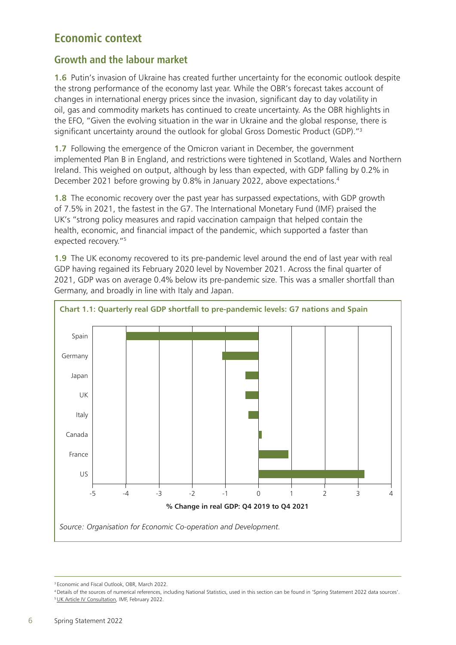## **Economic context**

## **Growth and the labour market**

**1.6** Putin's invasion of Ukraine has created further uncertainty for the economic outlook despite the strong performance of the economy last year. While the OBR's forecast takes account of changes in international energy prices since the invasion, significant day to day volatility in oil, gas and commodity markets has continued to create uncertainty. As the OBR highlights in the EFO, "Given the evolving situation in the war in Ukraine and the global response, there is significant uncertainty around the outlook for global Gross Domestic Product (GDP).<sup>"3</sup>

**1.7** Following the emergence of the Omicron variant in December, the government implemented Plan B in England, and restrictions were tightened in Scotland, Wales and Northern Ireland. This weighed on output, although by less than expected, with GDP falling by 0.2% in December 2021 before growing by 0.8% in January 2022, above expectations.<sup>4</sup>

**1.8** The economic recovery over the past year has surpassed expectations, with GDP growth of 7.5% in 2021, the fastest in the G7. The International Monetary Fund (IMF) praised the UK's "strong policy measures and rapid vaccination campaign that helped contain the health, economic, and financial impact of the pandemic, which supported a faster than expected recovery."5

**1.9** The UK economy recovered to its pre-pandemic level around the end of last year with real GDP having regained its February 2020 level by November 2021. Across the final quarter of 2021, GDP was on average 0.4% below its pre-pandemic size. This was a smaller shortfall than Germany, and broadly in line with Italy and Japan.



<sup>3</sup> Economic and Fiscal Outlook, OBR, March 2022.

<sup>4</sup> Details of the sources of numerical references, including National Statistics, used in this section can be found in 'Spring Statement 2022 data sources'. <sup>5</sup> [UK Article IV Consultation](https://www.imf.org/en/Publications/CR/Issues/2022/02/22/United-Kingdom-2021-Article-IV-Consultation-Press-Release-Staff-Report-and-Statement-by-the-513439), IMF, February 2022.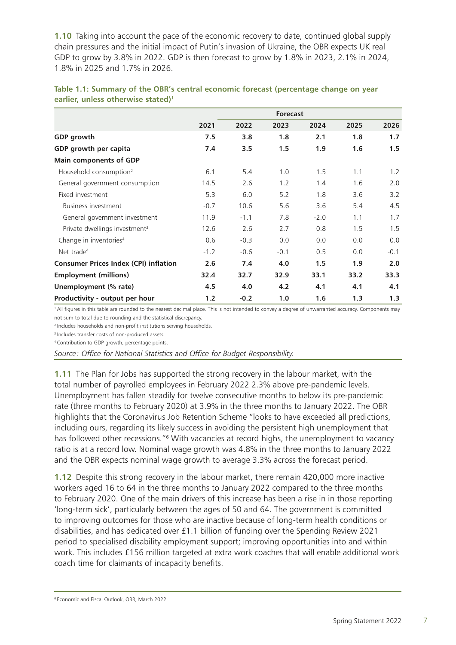**1.10** Taking into account the pace of the economic recovery to date, continued global supply chain pressures and the initial impact of Putin's invasion of Ukraine, the OBR expects UK real GDP to grow by 3.8% in 2022. GDP is then forecast to grow by 1.8% in 2023, 2.1% in 2024, 1.8% in 2025 and 1.7% in 2026.

|                                              | <b>Forecast</b> |        |        |        |      |        |  |  |
|----------------------------------------------|-----------------|--------|--------|--------|------|--------|--|--|
|                                              | 2021            | 2022   | 2023   | 2024   | 2025 | 2026   |  |  |
| GDP growth                                   | 7.5             | 3.8    | 1.8    | 2.1    | 1.8  | 1.7    |  |  |
| GDP growth per capita                        | 7.4             | 3.5    | 1.5    | 1.9    | 1.6  | 1.5    |  |  |
| Main components of GDP                       |                 |        |        |        |      |        |  |  |
| Household consumption <sup>2</sup>           | 6.1             | 5.4    | 1.0    | 1.5    | 1.1  | 1.2    |  |  |
| General government consumption               | 14.5            | 2.6    | 1.2    | 1.4    | 1.6  | 2.0    |  |  |
| Fixed investment                             | 5.3             | 6.0    | 5.2    | 1.8    | 3.6  | 3.2    |  |  |
| Business investment                          | $-0.7$          | 10.6   | 5.6    | 3.6    | 5.4  | 4.5    |  |  |
| General government investment                | 11.9            | $-1.1$ | 7.8    | $-2.0$ | 1.1  | 1.7    |  |  |
| Private dwellings investment <sup>3</sup>    | 12.6            | 2.6    | 2.7    | 0.8    | 1.5  | 1.5    |  |  |
| Change in inventories <sup>4</sup>           | 0.6             | $-0.3$ | 0.0    | 0.0    | 0.0  | 0.0    |  |  |
| Net trade <sup>4</sup>                       | $-1.2$          | $-0.6$ | $-0.1$ | 0.5    | 0.0  | $-0.1$ |  |  |
| <b>Consumer Prices Index (CPI) inflation</b> | 2.6             | 7.4    | 4.0    | 1.5    | 1.9  | 2.0    |  |  |
| <b>Employment (millions)</b>                 | 32.4            | 32.7   | 32.9   | 33.1   | 33.2 | 33.3   |  |  |
| Unemployment (% rate)                        | 4.5             | 4.0    | 4.2    | 4.1    | 4.1  | 4.1    |  |  |
| Productivity - output per hour               | 1.2             | $-0.2$ | 1.0    | 1.6    | 1.3  | 1.3    |  |  |

| Table 1.1: Summary of the OBR's central economic forecast (percentage change on year |  |
|--------------------------------------------------------------------------------------|--|
| earlier, unless otherwise stated) <sup>1</sup>                                       |  |

1 All figures in this table are rounded to the nearest decimal place. This is not intended to convey a degree of unwarranted accuracy. Components may not sum to total due to rounding and the statistical discrepancy.

<sup>2</sup> Includes households and non-profit institutions serving households.

3 Includes transfer costs of non-produced assets.

4 Contribution to GDP growth, percentage points.

*Source: Office for National Statistics and Office for Budget Responsibility.*

**1.11** The Plan for Jobs has supported the strong recovery in the labour market, with the total number of payrolled employees in February 2022 2.3% above pre-pandemic levels. Unemployment has fallen steadily for twelve consecutive months to below its pre-pandemic rate (three months to February 2020) at 3.9% in the three months to January 2022. The OBR highlights that the Coronavirus Job Retention Scheme "looks to have exceeded all predictions, including ours, regarding its likely success in avoiding the persistent high unemployment that has followed other recessions."<sup>6</sup> With vacancies at record highs, the unemployment to vacancy ratio is at a record low. Nominal wage growth was 4.8% in the three months to January 2022 and the OBR expects nominal wage growth to average 3.3% across the forecast period.

**1.12** Despite this strong recovery in the labour market, there remain 420,000 more inactive workers aged 16 to 64 in the three months to January 2022 compared to the three months to February 2020. One of the main drivers of this increase has been a rise in in those reporting 'long-term sick', particularly between the ages of 50 and 64. The government is committed to improving outcomes for those who are inactive because of long-term health conditions or disabilities, and has dedicated over £1.1 billion of funding over the Spending Review 2021 period to specialised disability employment support; improving opportunities into and within work. This includes £156 million targeted at extra work coaches that will enable additional work coach time for claimants of incapacity benefits.

6 Economic and Fiscal Outlook, OBR, March 2022.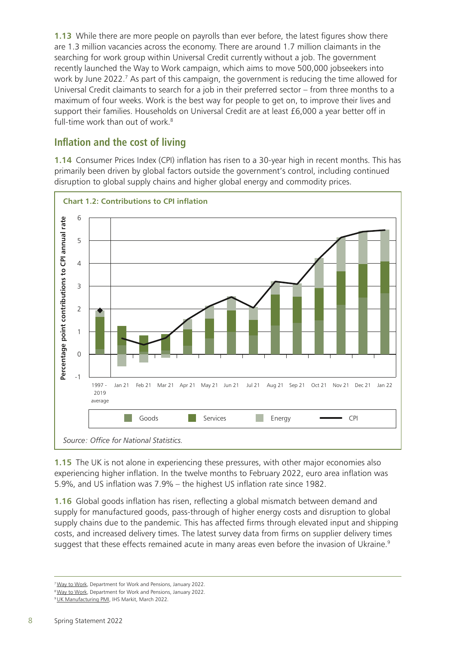**1.13** While there are more people on payrolls than ever before, the latest figures show there are 1.3 million vacancies across the economy. There are around 1.7 million claimants in the searching for work group within Universal Credit currently without a job. The government recently launched the Way to Work campaign, which aims to move 500,000 jobseekers into work by June 2022.<sup>7</sup> As part of this campaign, the government is reducing the time allowed for Universal Credit claimants to search for a job in their preferred sector – from three months to a maximum of four weeks. Work is the best way for people to get on, to improve their lives and support their families. Households on Universal Credit are at least £6,000 a year better off in full-time work than out of work.<sup>8</sup>

## **Inflation and the cost of living**

**1.14** Consumer Prices Index (CPI) inflation has risen to a 30-year high in recent months. This has primarily been driven by global factors outside the government's control, including continued disruption to global supply chains and higher global energy and commodity prices.



**1.15** The UK is not alone in experiencing these pressures, with other major economies also experiencing higher inflation. In the twelve months to February 2022, euro area inflation was 5.9%, and US inflation was 7.9% – the highest US inflation rate since 1982.

**1.16** Global goods inflation has risen, reflecting a global mismatch between demand and supply for manufactured goods, pass-through of higher energy costs and disruption to global supply chains due to the pandemic. This has affected firms through elevated input and shipping costs, and increased delivery times. The latest survey data from firms on supplier delivery times suggest that these effects remained acute in many areas even before the invasion of Ukraine.<sup>9</sup>

<sup>7</sup> [Way to Work,](https://www.gov.uk/government/news/new-jobs-mission-to-get-500-000-into-work) Department for Work and Pensions, January 2022.

<sup>&</sup>lt;sup>8</sup> [Way to Work,](https://www.gov.uk/government/news/new-jobs-mission-to-get-500-000-into-work) Department for Work and Pensions, January 2022.

<sup>&</sup>lt;sup>9</sup> [UK Manufacturing PMI,](https://www.markiteconomics.com/Public/Home/PressRelease/d83071357f6248a09a43d0daff341173) IHS Markit, March 2022.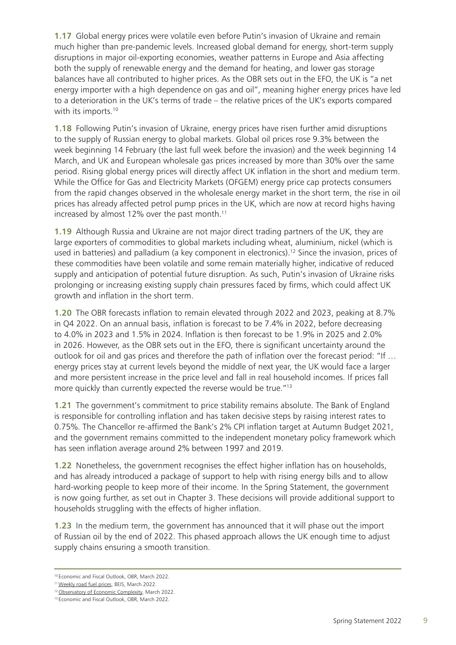**1.17** Global energy prices were volatile even before Putin's invasion of Ukraine and remain much higher than pre-pandemic levels. Increased global demand for energy, short-term supply disruptions in major oil-exporting economies, weather patterns in Europe and Asia affecting both the supply of renewable energy and the demand for heating, and lower gas storage balances have all contributed to higher prices. As the OBR sets out in the EFO, the UK is "a net energy importer with a high dependence on gas and oil", meaning higher energy prices have led to a deterioration in the UK's terms of trade – the relative prices of the UK's exports compared with its imports.<sup>10</sup>

**1.18** Following Putin's invasion of Ukraine, energy prices have risen further amid disruptions to the supply of Russian energy to global markets. Global oil prices rose 9.3% between the week beginning 14 February (the last full week before the invasion) and the week beginning 14 March, and UK and European wholesale gas prices increased by more than 30% over the same period. Rising global energy prices will directly affect UK inflation in the short and medium term. While the Office for Gas and Electricity Markets (OFGEM) energy price cap protects consumers from the rapid changes observed in the wholesale energy market in the short term, the rise in oil prices has already affected petrol pump prices in the UK, which are now at record highs having increased by almost 12% over the past month.<sup>11</sup>

**1.19** Although Russia and Ukraine are not major direct trading partners of the UK, they are large exporters of commodities to global markets including wheat, aluminium, nickel (which is used in batteries) and palladium (a key component in electronics).<sup>12</sup> Since the invasion, prices of these commodities have been volatile and some remain materially higher, indicative of reduced supply and anticipation of potential future disruption. As such, Putin's invasion of Ukraine risks prolonging or increasing existing supply chain pressures faced by firms, which could affect UK growth and inflation in the short term.

**1.20** The OBR forecasts inflation to remain elevated through 2022 and 2023, peaking at 8.7% in Q4 2022. On an annual basis, inflation is forecast to be 7.4% in 2022, before decreasing to 4.0% in 2023 and 1.5% in 2024. Inflation is then forecast to be 1.9% in 2025 and 2.0% in 2026. However, as the OBR sets out in the EFO, there is significant uncertainty around the outlook for oil and gas prices and therefore the path of inflation over the forecast period: "If … energy prices stay at current levels beyond the middle of next year, the UK would face a larger and more persistent increase in the price level and fall in real household incomes. If prices fall more quickly than currently expected the reverse would be true."13

**1.21** The government's commitment to price stability remains absolute. The Bank of England is responsible for controlling inflation and has taken decisive steps by raising interest rates to 0.75%. The Chancellor re-affirmed the Bank's 2% CPI inflation target at Autumn Budget 2021, and the government remains committed to the independent monetary policy framework which has seen inflation average around 2% between 1997 and 2019.

**1.22** Nonetheless, the government recognises the effect higher inflation has on households, and has already introduced a package of support to help with rising energy bills and to allow hard-working people to keep more of their income. In the Spring Statement, the government is now going further, as set out in Chapter 3. These decisions will provide additional support to households struggling with the effects of higher inflation.

**1.23** In the medium term, the government has announced that it will phase out the import of Russian oil by the end of 2022. This phased approach allows the UK enough time to adjust supply chains ensuring a smooth transition.

<sup>10</sup> Economic and Fiscal Outlook, OBR, March 2022.

<sup>&</sup>lt;sup>11</sup> [Weekly road fuel prices,](https://www.gov.uk/government/statistics/weekly-road-fuel-prices) BEIS, March 2022.

<sup>&</sup>lt;sup>12</sup> [Observatory of Economic Complexity,](https://oec.world/en/profile/country/rus) March 2022.

<sup>13</sup> Economic and Fiscal Outlook, OBR, March 2022.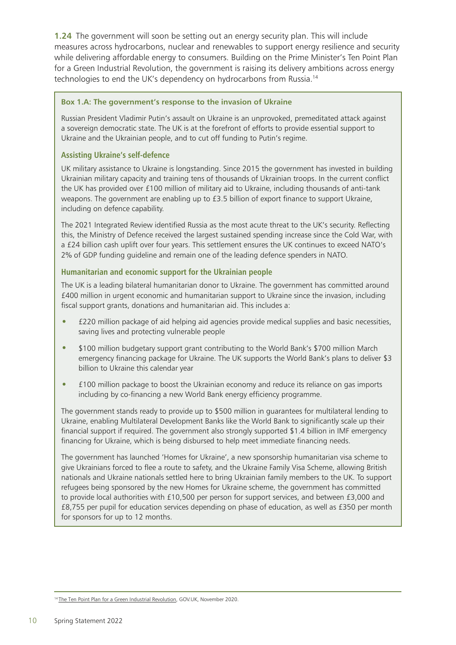**1.24** The government will soon be setting out an energy security plan. This will include measures across hydrocarbons, nuclear and renewables to support energy resilience and security while delivering affordable energy to consumers. Building on the Prime Minister's Ten Point Plan for a Green Industrial Revolution, the government is raising its delivery ambitions across energy technologies to end the UK's dependency on hydrocarbons from Russia.14

#### **Box 1.A: The government's response to the invasion of Ukraine**

Russian President Vladimir Putin's assault on Ukraine is an unprovoked, premeditated attack against a sovereign democratic state. The UK is at the forefront of efforts to provide essential support to Ukraine and the Ukrainian people, and to cut off funding to Putin's regime.

#### **Assisting Ukraine's self-defence**

UK military assistance to Ukraine is longstanding. Since 2015 the government has invested in building Ukrainian military capacity and training tens of thousands of Ukrainian troops. In the current conflict the UK has provided over £100 million of military aid to Ukraine, including thousands of anti-tank weapons. The government are enabling up to £3.5 billion of export finance to support Ukraine, including on defence capability.

The 2021 Integrated Review identified Russia as the most acute threat to the UK's security. Reflecting this, the Ministry of Defence received the largest sustained spending increase since the Cold War, with a £24 billion cash uplift over four years. This settlement ensures the UK continues to exceed NATO's 2% of GDP funding guideline and remain one of the leading defence spenders in NATO.

#### **Humanitarian and economic support for the Ukrainian people**

The UK is a leading bilateral humanitarian donor to Ukraine. The government has committed around £400 million in urgent economic and humanitarian support to Ukraine since the invasion, including fiscal support grants, donations and humanitarian aid. This includes a:

- £220 million package of aid helping aid agencies provide medical supplies and basic necessities, saving lives and protecting vulnerable people
- \$100 million budgetary support grant contributing to the World Bank's \$700 million March emergency financing package for Ukraine. The UK supports the World Bank's plans to deliver \$3 billion to Ukraine this calendar year
- £100 million package to boost the Ukrainian economy and reduce its reliance on gas imports including by co-financing a new World Bank energy efficiency programme.

The government stands ready to provide up to \$500 million in guarantees for multilateral lending to Ukraine, enabling Multilateral Development Banks like the World Bank to significantly scale up their financial support if required. The government also strongly supported \$1.4 billion in IMF emergency financing for Ukraine, which is being disbursed to help meet immediate financing needs.

The government has launched 'Homes for Ukraine', a new sponsorship humanitarian visa scheme to give Ukrainians forced to flee a route to safety, and the Ukraine Family Visa Scheme, allowing British nationals and Ukraine nationals settled here to bring Ukrainian family members to the UK. To support refugees being sponsored by the new Homes for Ukraine scheme, the government has committed to provide local authorities with £10,500 per person for support services, and between £3,000 and £8,755 per pupil for education services depending on phase of education, as well as £350 per month for sponsors for up to 12 months.

<sup>&</sup>lt;sup>14</sup> [The Ten Point Plan for a Green Industrial Revolution](https://www.gov.uk/government/publications/the-ten-point-plan-for-a-green-industrial-revolution), GOV.UK, November 2020.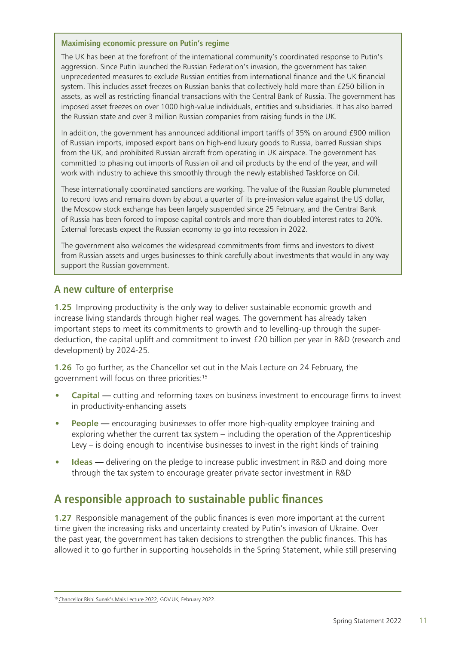#### **Maximising economic pressure on Putin's regime**

The UK has been at the forefront of the international community's coordinated response to Putin's aggression. Since Putin launched the Russian Federation's invasion, the government has taken unprecedented measures to exclude Russian entities from international finance and the UK financial system. This includes asset freezes on Russian banks that collectively hold more than £250 billion in assets, as well as restricting financial transactions with the Central Bank of Russia. The government has imposed asset freezes on over 1000 high-value individuals, entities and subsidiaries. It has also barred the Russian state and over 3 million Russian companies from raising funds in the UK.

In addition, the government has announced additional import tariffs of 35% on around £900 million of Russian imports, imposed export bans on high-end luxury goods to Russia, barred Russian ships from the UK, and prohibited Russian aircraft from operating in UK airspace. The government has committed to phasing out imports of Russian oil and oil products by the end of the year, and will work with industry to achieve this smoothly through the newly established Taskforce on Oil.

These internationally coordinated sanctions are working. The value of the Russian Rouble plummeted to record lows and remains down by about a quarter of its pre-invasion value against the US dollar, the Moscow stock exchange has been largely suspended since 25 February, and the Central Bank of Russia has been forced to impose capital controls and more than doubled interest rates to 20%. External forecasts expect the Russian economy to go into recession in 2022.

The government also welcomes the widespread commitments from firms and investors to divest from Russian assets and urges businesses to think carefully about investments that would in any way support the Russian government.

### **A new culture of enterprise**

**1.25** Improving productivity is the only way to deliver sustainable economic growth and increase living standards through higher real wages. The government has already taken important steps to meet its commitments to growth and to levelling-up through the superdeduction, the capital uplift and commitment to invest £20 billion per year in R&D (research and development) by 2024-25.

**1.26** To go further, as the Chancellor set out in the Mais Lecture on 24 February, the government will focus on three priorities:15

- **Capital** cutting and reforming taxes on business investment to encourage firms to invest in productivity-enhancing assets
- **People** encouraging businesses to offer more high-quality employee training and exploring whether the current tax system – including the operation of the Apprenticeship Levy – is doing enough to incentivise businesses to invest in the right kinds of training
- **Ideas** delivering on the pledge to increase public investment in R&D and doing more through the tax system to encourage greater private sector investment in R&D

# **A responsible approach to sustainable public finances**

**1.27** Responsible management of the public finances is even more important at the current time given the increasing risks and uncertainty created by Putin's invasion of Ukraine. Over the past year, the government has taken decisions to strengthen the public finances. This has allowed it to go further in supporting households in the Spring Statement, while still preserving

<sup>15</sup> [Chancellor Rishi Sunak's Mais Lecture 2022](https://www.gov.uk/government/speeches/chancellor-rishi-sunaks-mais-lecture-2022), GOV.UK, February 2022.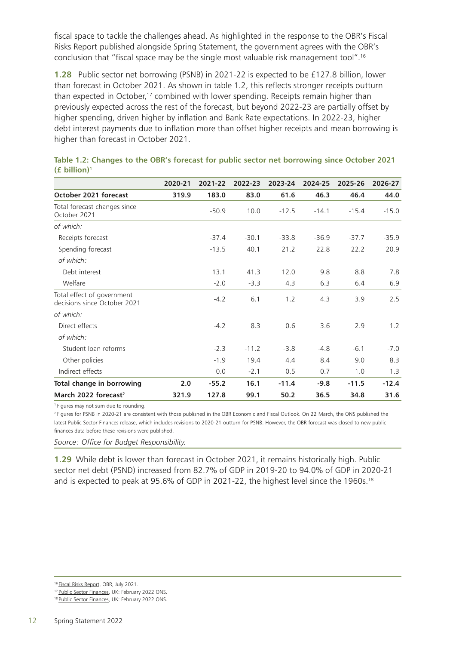fiscal space to tackle the challenges ahead. As highlighted in the response to the OBR's Fiscal Risks Report published alongside Spring Statement, the government agrees with the OBR's conclusion that "fiscal space may be the single most valuable risk management tool".16

**1.28** Public sector net borrowing (PSNB) in 2021-22 is expected to be £127.8 billion, lower than forecast in October 2021. As shown in table 1.2, this reflects stronger receipts outturn than expected in October,<sup>17</sup> combined with lower spending. Receipts remain higher than previously expected across the rest of the forecast, but beyond 2022-23 are partially offset by higher spending, driven higher by inflation and Bank Rate expectations. In 2022-23, higher debt interest payments due to inflation more than offset higher receipts and mean borrowing is higher than forecast in October 2021.

|                                                            | 2020-21 | 2021-22 | 2022-23 | 2023-24 | 2024-25 | 2025-26 | 2026-27 |
|------------------------------------------------------------|---------|---------|---------|---------|---------|---------|---------|
| October 2021 forecast                                      | 319.9   | 183.0   | 83.0    | 61.6    | 46.3    | 46.4    | 44.0    |
| Total forecast changes since<br>October 2021               |         | $-50.9$ | 10.0    | $-12.5$ | $-14.1$ | $-15.4$ | $-15.0$ |
| of which:                                                  |         |         |         |         |         |         |         |
| Receipts forecast                                          |         | $-37.4$ | $-30.1$ | $-33.8$ | $-36.9$ | $-37.7$ | $-35.9$ |
| Spending forecast                                          |         | $-13.5$ | 40.1    | 21.2    | 22.8    | 22.2    | 20.9    |
| of which:                                                  |         |         |         |         |         |         |         |
| Debt interest                                              |         | 13.1    | 41.3    | 12.0    | 9.8     | 8.8     | 7.8     |
| Welfare                                                    |         | $-2.0$  | $-3.3$  | 4.3     | 6.3     | 6.4     | 6.9     |
| Total effect of government<br>decisions since October 2021 |         | $-4.2$  | 6.1     | 1.2     | 4.3     | 3.9     | 2.5     |
| of which:                                                  |         |         |         |         |         |         |         |
| Direct effects                                             |         | $-4.2$  | 8.3     | 0.6     | 3.6     | 2.9     | 1.2     |
| of which:                                                  |         |         |         |         |         |         |         |
| Student loan reforms                                       |         | $-2.3$  | $-11.2$ | $-3.8$  | $-4.8$  | $-6.1$  | $-7.0$  |
| Other policies                                             |         | $-1.9$  | 19.4    | 4.4     | 8.4     | 9.0     | 8.3     |
| Indirect effects                                           |         | 0.0     | $-2.1$  | 0.5     | 0.7     | 1.0     | 1.3     |
| Total change in borrowing                                  | 2.0     | $-55.2$ | 16.1    | $-11.4$ | $-9.8$  | $-11.5$ | $-12.4$ |
| March 2022 forecast <sup>2</sup>                           | 321.9   | 127.8   | 99.1    | 50.2    | 36.5    | 34.8    | 31.6    |

**Table 1.2: Changes to the OBR's forecast for public sector net borrowing since October 2021 (£ billion)1**

<sup>1</sup> Figures may not sum due to rounding.

<sup>2</sup> Figures for PSNB in 2020-21 are consistent with those published in the OBR Economic and Fiscal Outlook. On 22 March, the ONS published the latest Public Sector Finances release, which includes revisions to 2020-21 outturn for PSNB. However, the OBR forecast was closed to new public finances data before these revisions were published.

*Source: Office for Budget Responsibility.*

**1.29** While debt is lower than forecast in October 2021, it remains historically high. Public sector net debt (PSND) increased from 82.7% of GDP in 2019-20 to 94.0% of GDP in 2020-21 and is expected to peak at 95.6% of GDP in 2021-22, the highest level since the 1960s.<sup>18</sup>

<sup>&</sup>lt;sup>16</sup> [Fiscal Risks Report,](https://obr.uk/frr/fiscal-risks-report-july-2021/) OBR, July 2021.

<sup>17</sup> [Public Sector Finances,](https://www.ons.gov.uk/economy/governmentpublicsectorandtaxes/publicsectorfinance) UK: February 2022 ONS.

<sup>18</sup> [Public Sector Finances,](https://www.ons.gov.uk/economy/governmentpublicsectorandtaxes/publicsectorfinance) UK: February 2022 ONS.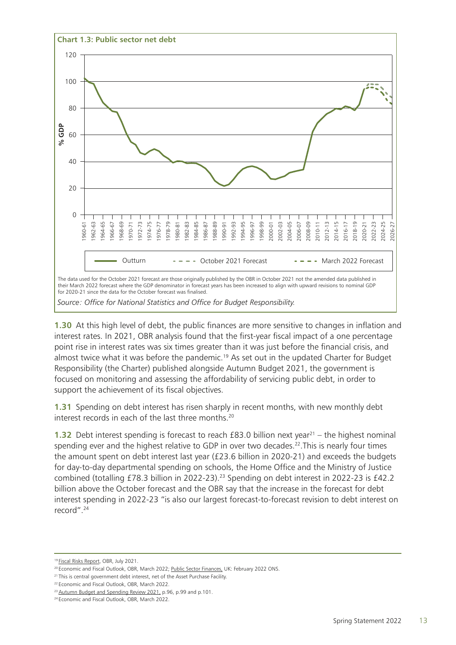

**1.30** At this high level of debt, the public finances are more sensitive to changes in inflation and interest rates. In 2021, OBR analysis found that the first-year fiscal impact of a one percentage point rise in interest rates was six times greater than it was just before the financial crisis, and almost twice what it was before the pandemic.<sup>19</sup> As set out in the updated Charter for Budget Responsibility (the Charter) published alongside Autumn Budget 2021, the government is focused on monitoring and assessing the affordability of servicing public debt, in order to support the achievement of its fiscal objectives.

**1.31** Spending on debt interest has risen sharply in recent months, with new monthly debt interest records in each of the last three months.<sup>20</sup>

**1.32** Debt interest spending is forecast to reach  $£83.0$  billion next year<sup>21</sup> – the highest nominal spending ever and the highest relative to GDP in over two decades.<sup>22</sup>. This is nearly four times the amount spent on debt interest last year (£23.6 billion in 2020-21) and exceeds the budgets for day-to-day departmental spending on schools, the Home Office and the Ministry of Justice combined (totalling £78.3 billion in 2022-23).<sup>23</sup> Spending on debt interest in 2022-23 is £42.2 billion above the October forecast and the OBR say that the increase in the forecast for debt interest spending in 2022-23 "is also our largest forecast-to-forecast revision to debt interest on record".24

<sup>19</sup> [Fiscal Risks Report,](https://obr.uk/frr/fiscal-risks-report-july-2021/) OBR, July 2021.

<sup>&</sup>lt;sup>20</sup> Economic and Fiscal Outlook, OBR, March 2022; Public Sector Finances, UK: February 2022 ONS.

<sup>&</sup>lt;sup>21</sup> This is central government debt interest, net of the Asset Purchase Facility.

<sup>&</sup>lt;sup>22</sup> Economic and Fiscal Outlook, OBR, March 2022.

<sup>&</sup>lt;sup>23</sup> [Autumn Budget and Spending Review 2021,](https://www.gov.uk/government/publications/autumn-budget-and-spending-review-2021-documents) p.96, p.99 and p.101.

<sup>&</sup>lt;sup>24</sup> Economic and Fiscal Outlook, OBR, March 2022.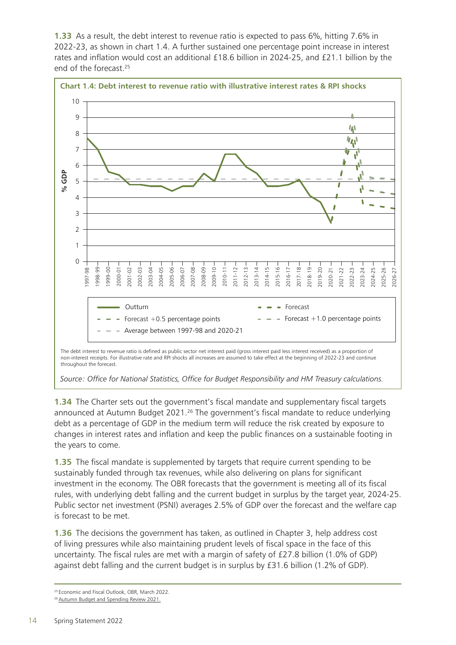**1.33** As a result, the debt interest to revenue ratio is expected to pass 6%, hitting 7.6% in 2022-23, as shown in chart 1.4. A further sustained one percentage point increase in interest rates and inflation would cost an additional £18.6 billion in 2024-25, and £21.1 billion by the end of the forecast.25



*Source: Office for National Statistics, Office for Budget Responsibility and HM Treasury calculations.*

**1.34** The Charter sets out the government's fiscal mandate and supplementary fiscal targets announced at Autumn Budget 2021.<sup>26</sup> The government's fiscal mandate to reduce underlying debt as a percentage of GDP in the medium term will reduce the risk created by exposure to changes in interest rates and inflation and keep the public finances on a sustainable footing in the years to come.

**1.35** The fiscal mandate is supplemented by targets that require current spending to be sustainably funded through tax revenues, while also delivering on plans for significant investment in the economy. The OBR forecasts that the government is meeting all of its fiscal rules, with underlying debt falling and the current budget in surplus by the target year, 2024-25. Public sector net investment (PSNI) averages 2.5% of GDP over the forecast and the welfare cap is forecast to be met.

**1.36** The decisions the government has taken, as outlined in Chapter 3, help address cost of living pressures while also maintaining prudent levels of fiscal space in the face of this uncertainty. The fiscal rules are met with a margin of safety of £27.8 billion (1.0% of GDP) against debt falling and the current budget is in surplus by £31.6 billion (1.2% of GDP).

<sup>&</sup>lt;sup>25</sup> Economic and Fiscal Outlook, OBR, March 2022.

<sup>&</sup>lt;sup>26</sup> [Autumn Budget and Spending Review 2021.](https://www.gov.uk/government/publications/autumn-budget-and-spending-review-2021-documents )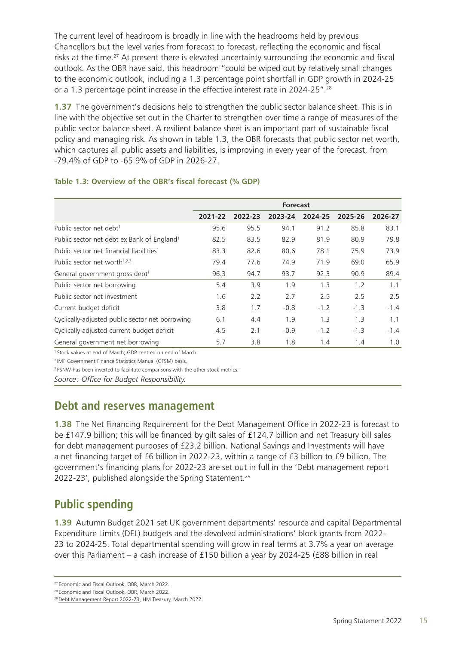The current level of headroom is broadly in line with the headrooms held by previous Chancellors but the level varies from forecast to forecast, reflecting the economic and fiscal risks at the time.<sup>27</sup> At present there is elevated uncertainty surrounding the economic and fiscal outlook. As the OBR have said, this headroom "could be wiped out by relatively small changes to the economic outlook, including a 1.3 percentage point shortfall in GDP growth in 2024-25 or a 1.3 percentage point increase in the effective interest rate in 2024-25".28

**1.37** The government's decisions help to strengthen the public sector balance sheet. This is in line with the objective set out in the Charter to strengthen over time a range of measures of the public sector balance sheet. A resilient balance sheet is an important part of sustainable fiscal policy and managing risk. As shown in table 1.3, the OBR forecasts that public sector net worth, which captures all public assets and liabilities, is improving in every year of the forecast, from -79.4% of GDP to -65.9% of GDP in 2026-27.

|                                                        | <b>Forecast</b> |         |         |         |         |         |
|--------------------------------------------------------|-----------------|---------|---------|---------|---------|---------|
|                                                        | 2021-22         | 2022-23 | 2023-24 | 2024-25 | 2025-26 | 2026-27 |
| Public sector net debt <sup>1</sup>                    | 95.6            | 95.5    | 94.1    | 91.2    | 85.8    | 83.1    |
| Public sector net debt ex Bank of England <sup>1</sup> | 82.5            | 83.5    | 82.9    | 81.9    | 80.9    | 79.8    |
| Public sector net financial liabilities <sup>1</sup>   | 83.3            | 82.6    | 80.6    | 78.1    | 75.9    | 73.9    |
| Public sector net worth $1,2,3$                        | 79.4            | 77.6    | 74.9    | 71.9    | 69.0    | 65.9    |
| General government gross debt <sup>1</sup>             | 96.3            | 94.7    | 93.7    | 92.3    | 90.9    | 89.4    |
| Public sector net borrowing                            | 5.4             | 3.9     | 1.9     | 1.3     | 1.2     | 1.1     |
| Public sector net investment                           | 1.6             | 2.2     | 2.7     | 2.5     | 2.5     | 2.5     |
| Current budget deficit                                 | 3.8             | 1.7     | $-0.8$  | $-1.2$  | $-1.3$  | $-1.4$  |
| Cyclically-adjusted public sector net borrowing        | 6.1             | 4.4     | 1.9     | 1.3     | 1.3     | 1.1     |
| Cyclically-adjusted current budget deficit             | 4.5             | 2.1     | $-0.9$  | $-1.2$  | $-1.3$  | $-1.4$  |
| General government net borrowing                       | 5.7             | 3.8     | 1.8     | 1.4     | 1.4     | 1.0     |

#### **Table 1.3: Overview of the OBR's fiscal forecast (% GDP)**

1 Stock values at end of March; GDP centred on end of March.

<sup>2</sup> IMF Government Finance Statistics Manual (GFSM) basis.

<sup>3</sup> PSNW has been inverted to facilitate comparisons with the other stock metrics.

*Source: Office for Budget Responsibility.*

## **Debt and reserves management**

**1.38** The Net Financing Requirement for the Debt Management Office in 2022-23 is forecast to be £147.9 billion; this will be financed by gilt sales of £124.7 billion and net Treasury bill sales for debt management purposes of £23.2 billion. National Savings and Investments will have a net financing target of £6 billion in 2022-23, within a range of £3 billion to £9 billion. The government's financing plans for 2022-23 are set out in full in the 'Debt management report 2022-23', published alongside the Spring Statement.<sup>29</sup>

# **Public spending**

**1.39** Autumn Budget 2021 set UK government departments' resource and capital Departmental Expenditure Limits (DEL) budgets and the devolved administrations' block grants from 2022- 23 to 2024-25. Total departmental spending will grow in real terms at 3.7% a year on average over this Parliament – a cash increase of £150 billion a year by 2024-25 (£88 billion in real

<sup>&</sup>lt;sup>27</sup> Economic and Fiscal Outlook, OBR, March 2022.

<sup>28</sup> Economic and Fiscal Outlook, OBR, March 2022.

<sup>29</sup> [Debt Management Report 2022-23](https://www.dmo.gov.uk/responsibilities/financing-remit/), HM Treasury, March 2022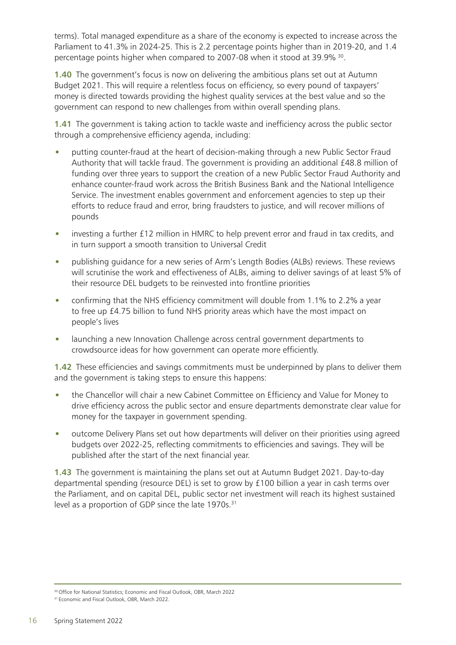terms). Total managed expenditure as a share of the economy is expected to increase across the Parliament to 41.3% in 2024-25. This is 2.2 percentage points higher than in 2019-20, and 1.4 percentage points higher when compared to 2007-08 when it stood at 39.9% 30.

**1.40** The government's focus is now on delivering the ambitious plans set out at Autumn Budget 2021. This will require a relentless focus on efficiency, so every pound of taxpayers' money is directed towards providing the highest quality services at the best value and so the government can respond to new challenges from within overall spending plans.

**1.41** The government is taking action to tackle waste and inefficiency across the public sector through a comprehensive efficiency agenda, including:

- putting counter-fraud at the heart of decision-making through a new Public Sector Fraud Authority that will tackle fraud. The government is providing an additional £48.8 million of funding over three years to support the creation of a new Public Sector Fraud Authority and enhance counter-fraud work across the British Business Bank and the National Intelligence Service. The investment enables government and enforcement agencies to step up their efforts to reduce fraud and error, bring fraudsters to justice, and will recover millions of pounds
- investing a further £12 million in HMRC to help prevent error and fraud in tax credits, and in turn support a smooth transition to Universal Credit
- publishing guidance for a new series of Arm's Length Bodies (ALBs) reviews. These reviews will scrutinise the work and effectiveness of ALBs, aiming to deliver savings of at least 5% of their resource DEL budgets to be reinvested into frontline priorities
- confirming that the NHS efficiency commitment will double from 1.1% to 2.2% a year to free up £4.75 billion to fund NHS priority areas which have the most impact on people's lives
- launching a new Innovation Challenge across central government departments to crowdsource ideas for how government can operate more efficiently.

**1.42** These efficiencies and savings commitments must be underpinned by plans to deliver them and the government is taking steps to ensure this happens:

- the Chancellor will chair a new Cabinet Committee on Efficiency and Value for Money to drive efficiency across the public sector and ensure departments demonstrate clear value for money for the taxpayer in government spending.
- outcome Delivery Plans set out how departments will deliver on their priorities using agreed budgets over 2022-25, reflecting commitments to efficiencies and savings. They will be published after the start of the next financial year.

**1.43** The government is maintaining the plans set out at Autumn Budget 2021. Day-to-day departmental spending (resource DEL) is set to grow by £100 billion a year in cash terms over the Parliament, and on capital DEL, public sector net investment will reach its highest sustained level as a proportion of GDP since the late 1970s.<sup>31</sup>

<sup>30</sup> Office for National Statistics; Economic and Fiscal Outlook, OBR, March 2022

<sup>&</sup>lt;sup>31</sup> Economic and Fiscal Outlook, OBR, March 2022.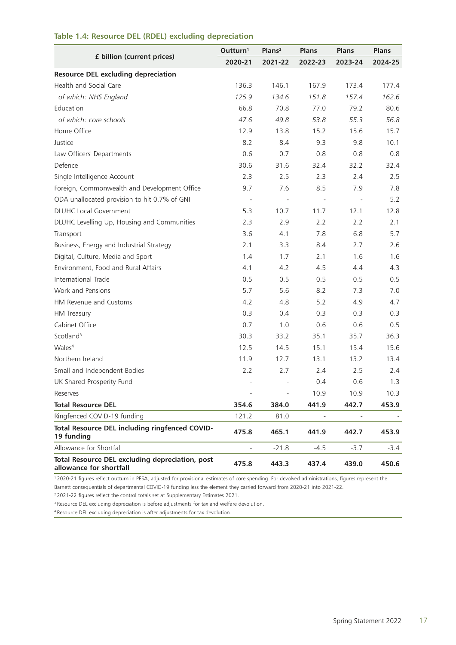|                                                                            | Outturn <sup>1</sup>     | Plans <sup>2</sup> | <b>Plans</b>             | <b>Plans</b> | <b>Plans</b> |
|----------------------------------------------------------------------------|--------------------------|--------------------|--------------------------|--------------|--------------|
| £ billion (current prices)                                                 | 2020-21                  | 2021-22            | 2022-23                  | 2023-24      | 2024-25      |
| <b>Resource DEL excluding depreciation</b>                                 |                          |                    |                          |              |              |
| Health and Social Care                                                     | 136.3                    | 146.1              | 167.9                    | 173.4        | 177.4        |
| of which: NHS England                                                      | 125.9                    | 134.6              | 151.8                    | 157.4        | 162.6        |
| Education                                                                  | 66.8                     | 70.8               | 77.0                     | 79.2         | 80.6         |
| of which: core schools                                                     | 47.6                     | 49.8               | 53.8                     | 55.3         | 56.8         |
| Home Office                                                                | 12.9                     | 13.8               | 15.2                     | 15.6         | 15.7         |
| Justice                                                                    | 8.2                      | 8.4                | 9.3                      | 9.8          | 10.1         |
| Law Officers' Departments                                                  | 0.6                      | 0.7                | 0.8                      | 0.8          | 0.8          |
| Defence                                                                    | 30.6                     | 31.6               | 32.4                     | 32.2         | 32.4         |
| Single Intelligence Account                                                | 2.3                      | 2.5                | 2.3                      | 2.4          | 2.5          |
| Foreign, Commonwealth and Development Office                               | 9.7                      | 7.6                | 8.5                      | 7.9          | 7.8          |
| ODA unallocated provision to hit 0.7% of GNI                               | $\overline{\phantom{a}}$ |                    | $\overline{\phantom{a}}$ |              | 5.2          |
| <b>DLUHC Local Government</b>                                              | 5.3                      | 10.7               | 11.7                     | 12.1         | 12.8         |
| DLUHC Levelling Up, Housing and Communities                                | 2.3                      | 2.9                | 2.2                      | 2.2          | 2.1          |
| Transport                                                                  | 3.6                      | 4.1                | 7.8                      | 6.8          | 5.7          |
| Business, Energy and Industrial Strategy                                   | 2.1                      | 3.3                | 8.4                      | 2.7          | 2.6          |
| Digital, Culture, Media and Sport                                          | 1.4                      | 1.7                | 2.1                      | 1.6          | 1.6          |
| Environment, Food and Rural Affairs                                        | 4.1                      | 4.2                | 4.5                      | 4.4          | 4.3          |
| International Trade                                                        | 0.5                      | 0.5                | 0.5                      | 0.5          | 0.5          |
| Work and Pensions                                                          | 5.7                      | 5.6                | 8.2                      | 7.3          | 7.0          |
| HM Revenue and Customs                                                     | 4.2                      | 4.8                | 5.2                      | 4.9          | 4.7          |
| <b>HM</b> Treasury                                                         | 0.3                      | 0.4                | 0.3                      | 0.3          | 0.3          |
| Cabinet Office                                                             | 0.7                      | 1.0                | 0.6                      | 0.6          | 0.5          |
| Scotland <sup>3</sup>                                                      | 30.3                     | 33.2               | 35.1                     | 35.7         | 36.3         |
| Wales <sup>4</sup>                                                         | 12.5                     | 14.5               | 15.1                     | 15.4         | 15.6         |
| Northern Ireland                                                           | 11.9                     | 12.7               | 13.1                     | 13.2         | 13.4         |
| Small and Independent Bodies                                               | 2.2                      | 2.7                | 2.4                      | 2.5          | 2.4          |
| UK Shared Prosperity Fund                                                  |                          |                    | 0.4                      | 0.6          | 1.3          |
| Reserves                                                                   |                          |                    | 10.9                     | 10.9         | 10.3         |
| <b>Total Resource DEL</b>                                                  | 354.6                    | 384.0              | 441.9                    | 442.7        | 453.9        |
| Ringfenced COVID-19 funding                                                | 121.2                    | 81.0               |                          |              |              |
| Total Resource DEL including ringfenced COVID-<br>19 funding               | 475.8                    | 465.1              | 441.9                    | 442.7        | 453.9        |
| Allowance for Shortfall                                                    |                          | $-21.8$            | $-4.5$                   | $-3.7$       | -3.4         |
| Total Resource DEL excluding depreciation, post<br>allowance for shortfall | 475.8                    | 443.3              | 437.4                    | 439.0        | 450.6        |

#### **Table 1.4: Resource DEL (RDEL) excluding depreciation**

1 2020-21 figures reflect outturn in PESA, adjusted for provisional estimates of core spending. For devolved administrations, figures represent the Barnett consequentials of departmental COVID-19 funding less the element they carried forward from 2020-21 into 2021-22.

2 2021-22 figures reflect the control totals set at Supplementary Estimates 2021.

<sup>3</sup> Resource DEL excluding depreciation is before adjustments for tax and welfare devolution.

4 Resource DEL excluding depreciation is after adjustments for tax devolution.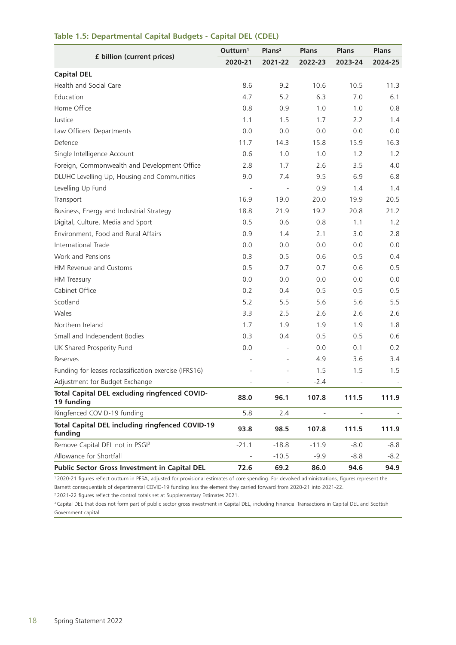|                                                                   | Outturn <sup>1</sup> | Plans <sup>2</sup> | <b>Plans</b>             | <b>Plans</b>             | <b>Plans</b> |
|-------------------------------------------------------------------|----------------------|--------------------|--------------------------|--------------------------|--------------|
| £ billion (current prices)                                        | 2020-21              | 2021-22            | 2022-23                  | 2023-24                  | 2024-25      |
| <b>Capital DEL</b>                                                |                      |                    |                          |                          |              |
| Health and Social Care                                            | 8.6                  | 9.2                | 10.6                     | 10.5                     | 11.3         |
| Education                                                         | 4.7                  | 5.2                | 6.3                      | 7.0                      | 6.1          |
| Home Office                                                       | 0.8                  | 0.9                | 1.0                      | 1.0                      | 0.8          |
| Justice                                                           | 1.1                  | 1.5                | 1.7                      | 2.2                      | 1.4          |
| Law Officers' Departments                                         | 0.0                  | 0.0                | 0.0                      | 0.0                      | 0.0          |
| Defence                                                           | 11.7                 | 14.3               | 15.8                     | 15.9                     | 16.3         |
| Single Intelligence Account                                       | 0.6                  | 1.0                | 1.0                      | 1.2                      | 1.2          |
| Foreign, Commonwealth and Development Office                      | 2.8                  | 1.7                | 2.6                      | 3.5                      | 4.0          |
| DLUHC Levelling Up, Housing and Communities                       | 9.0                  | 7.4                | 9.5                      | 6.9                      | 6.8          |
| Levelling Up Fund                                                 |                      |                    | 0.9                      | 1.4                      | 1.4          |
| Transport                                                         | 16.9                 | 19.0               | 20.0                     | 19.9                     | 20.5         |
| Business, Energy and Industrial Strategy                          | 18.8                 | 21.9               | 19.2                     | 20.8                     | 21.2         |
| Digital, Culture, Media and Sport                                 | 0.5                  | 0.6                | 0.8                      | 1.1                      | 1.2          |
| Environment, Food and Rural Affairs                               | 0.9                  | 1.4                | 2.1                      | 3.0                      | 2.8          |
| International Trade                                               | 0.0                  | 0.0                | 0.0                      | 0.0                      | 0.0          |
| Work and Pensions                                                 | 0.3                  | 0.5                | 0.6                      | 0.5                      | 0.4          |
| HM Revenue and Customs                                            | 0.5                  | 0.7                | 0.7                      | 0.6                      | 0.5          |
| HM Treasury                                                       | 0.0                  | 0.0                | 0.0                      | 0.0                      | 0.0          |
| Cabinet Office                                                    | 0.2                  | 0.4                | 0.5                      | 0.5                      | 0.5          |
| Scotland                                                          | 5.2                  | 5.5                | 5.6                      | 5.6                      | 5.5          |
| Wales                                                             | 3.3                  | 2.5                | 2.6                      | 2.6                      | 2.6          |
| Northern Ireland                                                  | 1.7                  | 1.9                | 1.9                      | 1.9                      | 1.8          |
| Small and Independent Bodies                                      | 0.3                  | 0.4                | 0.5                      | 0.5                      | 0.6          |
| UK Shared Prosperity Fund                                         | 0.0                  |                    | 0.0                      | 0.1                      | 0.2          |
| Reserves                                                          |                      |                    | 4.9                      | 3.6                      | 3.4          |
| Funding for leases reclassification exercise (IFRS16)             |                      |                    | 1.5                      | 1.5                      | 1.5          |
| Adjustment for Budget Exchange                                    |                      |                    | $-2.4$                   | $\overline{\phantom{0}}$ |              |
| Total Capital DEL excluding ringfenced COVID-<br>19 funding       | 88.0                 | 96.1               | 107.8                    | 111.5                    | 111.9        |
| Ringfenced COVID-19 funding                                       | 5.8                  | 2.4                | $\overline{\phantom{a}}$ | $\overline{\phantom{a}}$ |              |
| <b>Total Capital DEL including ringfenced COVID-19</b><br>funding | 93.8                 | 98.5               | 107.8                    | 111.5                    | 111.9        |
| Remove Capital DEL not in PSGI <sup>3</sup>                       | $-21.1$              | $-18.8$            | $-11.9$                  | $-8.0$                   | $-8.8$       |
| Allowance for Shortfall                                           |                      | $-10.5$            | $-9.9$                   | $-8.8$                   | $-8.2$       |
| Public Sector Gross Investment in Capital DEL                     | 72.6                 | 69.2               | 86.0                     | 94.6                     | 94.9         |

#### **Table 1.5: Departmental Capital Budgets - Capital DEL (CDEL)**

<sup>1</sup>2020-21 figures reflect outturn in PESA, adjusted for provisional estimates of core spending. For devolved administrations, figures represent the Barnett consequentials of departmental COVID-19 funding less the element they carried forward from 2020-21 into 2021-22.

2 2021-22 figures reflect the control totals set at Supplementary Estimates 2021.

<sup>3</sup> Capital DEL that does not form part of public sector gross investment in Capital DEL, including Financial Transactions in Capital DEL and Scottish Government capital.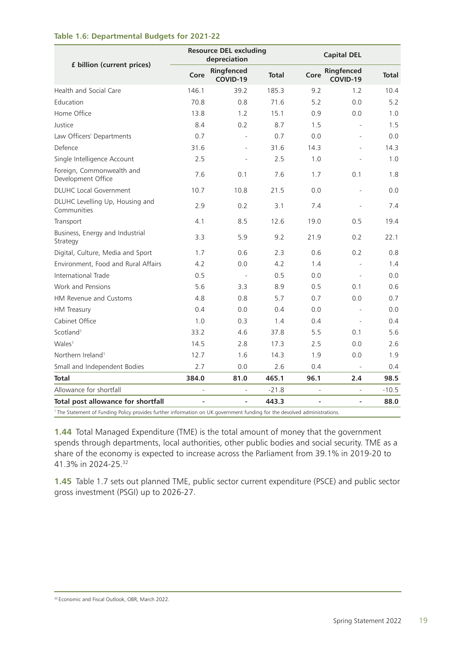#### **Table 1.6: Departmental Budgets for 2021-22**

|                                                                                                                                     |                          | <b>Resource DEL excluding</b><br><b>Capital DEL</b><br>depreciation |              |      |                          |              |
|-------------------------------------------------------------------------------------------------------------------------------------|--------------------------|---------------------------------------------------------------------|--------------|------|--------------------------|--------------|
| £ billion (current prices)                                                                                                          | Core                     | Ringfenced<br>COVID-19                                              | <b>Total</b> | Core | Ringfenced<br>COVID-19   | <b>Total</b> |
| Health and Social Care                                                                                                              | 146.1                    | 39.2                                                                | 185.3        | 9.2  | 1.2                      | 10.4         |
| <b>Education</b>                                                                                                                    | 70.8                     | 0.8                                                                 | 71.6         | 5.2  | 0.0                      | 5.2          |
| Home Office                                                                                                                         | 13.8                     | 1.2                                                                 | 15.1         | 0.9  | 0.0                      | 1.0          |
| Justice                                                                                                                             | 8.4                      | 0.2                                                                 | 8.7          | 1.5  |                          | 1.5          |
| Law Officers' Departments                                                                                                           | 0.7                      | $\overline{a}$                                                      | 0.7          | 0.0  | $\overline{a}$           | 0.0          |
| Defence                                                                                                                             | 31.6                     |                                                                     | 31.6         | 14.3 |                          | 14.3         |
| Single Intelligence Account                                                                                                         | 2.5                      |                                                                     | 2.5          | 1.0  |                          | 1.0          |
| Foreign, Commonwealth and<br>Development Office                                                                                     | 7.6                      | 0.1                                                                 | 7.6          | 1.7  | 0.1                      | 1.8          |
| <b>DLUHC Local Government</b>                                                                                                       | 10.7                     | 10.8                                                                | 21.5         | 0.0  | $\overline{\phantom{a}}$ | 0.0          |
| DLUHC Levelling Up, Housing and<br>Communities                                                                                      | 2.9                      | 0.2                                                                 | 3.1          | 7.4  |                          | 7.4          |
| Transport                                                                                                                           | 4.1                      | 8.5                                                                 | 12.6         | 19.0 | 0.5                      | 19.4         |
| Business, Energy and Industrial<br>Strategy                                                                                         | 3.3                      | 5.9                                                                 | 9.2          | 21.9 | 0.2                      | 22.1         |
| Digital, Culture, Media and Sport                                                                                                   | 1.7                      | 0.6                                                                 | 2.3          | 0.6  | 0.2                      | 0.8          |
| Environment, Food and Rural Affairs                                                                                                 | 4.2                      | 0.0                                                                 | 4.2          | 1.4  |                          | 1.4          |
| International Trade                                                                                                                 | 0.5                      | $\sim$                                                              | 0.5          | 0.0  |                          | 0.0          |
| Work and Pensions                                                                                                                   | 5.6                      | 3.3                                                                 | 8.9          | 0.5  | 0.1                      | 0.6          |
| HM Revenue and Customs                                                                                                              | 4.8                      | 0.8                                                                 | 5.7          | 0.7  | 0.0                      | 0.7          |
| HM Treasury                                                                                                                         | 0.4                      | 0.0                                                                 | 0.4          | 0.0  |                          | 0.0          |
| Cabinet Office                                                                                                                      | 1.0                      | 0.3                                                                 | 1.4          | 0.4  | $\sim$                   | 0.4          |
| Scotland <sup>1</sup>                                                                                                               | 33.2                     | 4.6                                                                 | 37.8         | 5.5  | 0.1                      | 5.6          |
| Wales <sup>1</sup>                                                                                                                  | 14.5                     | 2.8                                                                 | 17.3         | 2.5  | 0.0                      | 2.6          |
| Northern Ireland <sup>1</sup>                                                                                                       | 12.7                     | 1.6                                                                 | 14.3         | 1.9  | 0.0                      | 1.9          |
| Small and Independent Bodies                                                                                                        | 2.7                      | 0.0                                                                 | 2.6          | 0.4  |                          | 0.4          |
| Total                                                                                                                               | 384.0                    | 81.0                                                                | 465.1        | 96.1 | 2.4                      | 98.5         |
| Allowance for shortfall                                                                                                             | $\overline{\phantom{a}}$ |                                                                     | $-21.8$      | ÷,   |                          | $-10.5$      |
| Total post allowance for shortfall                                                                                                  | $\blacksquare$           | ÷,                                                                  | 443.3        | ÷    | $\frac{1}{2}$            | 88.0         |
| <sup>1</sup> The Statement of Funding Policy provides further information on UK government funding for the devolved administrations |                          |                                                                     |              |      |                          |              |

1 The Statement of Funding Policy provides further information on UK government funding for the devolved administrations.

**1.44** Total Managed Expenditure (TME) is the total amount of money that the government spends through departments, local authorities, other public bodies and social security. TME as a share of the economy is expected to increase across the Parliament from 39.1% in 2019-20 to 41.3% in 2024-25.32

**1.45** Table 1.7 sets out planned TME, public sector current expenditure (PSCE) and public sector gross investment (PSGI) up to 2026-27.

<sup>&</sup>lt;sup>32</sup> Economic and Fiscal Outlook, OBR, March 2022.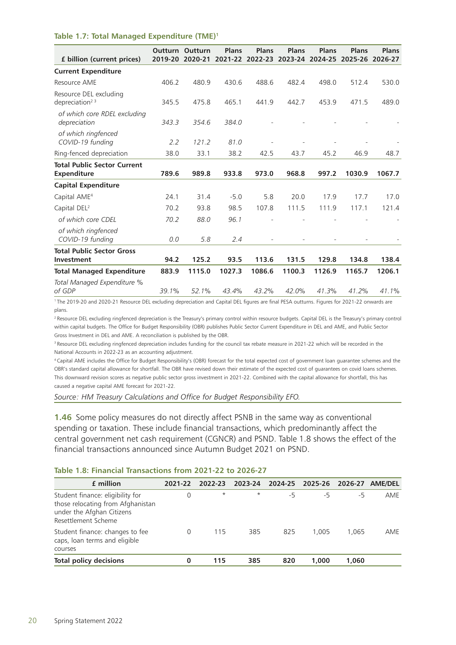#### **Table 1.7: Total Managed Expenditure (TME)1**

| f billion (current prices)                           | 2019-20 | <b>Outturn Outturn</b><br>2020-21 | Plans<br>2021-22 | Plans<br>2022-23 | <b>Plans</b><br>2023-24 | <b>Plans</b><br>2024-25 | Plans<br>2025-26 | Plans<br>2026-27 |
|------------------------------------------------------|---------|-----------------------------------|------------------|------------------|-------------------------|-------------------------|------------------|------------------|
| <b>Current Expenditure</b>                           |         |                                   |                  |                  |                         |                         |                  |                  |
| Resource AME                                         | 406.2   | 480.9                             | 430.6            | 488.6            | 482.4                   | 498.0                   | 512.4            | 530.0            |
| Resource DEL excluding<br>depreciation <sup>23</sup> | 345.5   | 475.8                             | 465.1            | 441.9            | 442.7                   | 453.9                   | 471.5            | 489.0            |
| of which core RDEL excluding<br>depreciation         | 343.3   | 354.6                             | 384.0            |                  |                         |                         |                  |                  |
| of which ringfenced<br>COVID-19 funding              | 2.2     | 121.2                             | 81.0             |                  |                         |                         |                  |                  |
| Ring-fenced depreciation                             | 38.0    | 33.1                              | 38.2             | 42.5             | 43.7                    | 45.2                    | 46.9             | 48.7             |
| <b>Total Public Sector Current</b><br>Expenditure    | 789.6   | 989.8                             | 933.8            | 973.0            | 968.8                   | 997.2                   | 1030.9           | 1067.7           |
| <b>Capital Expenditure</b>                           |         |                                   |                  |                  |                         |                         |                  |                  |
| Capital AME <sup>4</sup>                             | 24.1    | 31.4                              | $-5.0$           | 5.8              | 20.0                    | 17.9                    | 17.7             | 17.0             |
| Capital DEL <sup>2</sup>                             | 70.2    | 93.8                              | 98.5             | 107.8            | 111.5                   | 111.9                   | 117.1            | 121.4            |
| of which core CDEL                                   | 70.2    | 88.0                              | 96.1             |                  |                         |                         |                  |                  |
| of which ringfenced<br>COVID-19 funding              | 0.0     | 5.8                               | 2.4              |                  |                         |                         |                  |                  |
| <b>Total Public Sector Gross</b>                     |         |                                   |                  |                  |                         |                         |                  |                  |
| Investment                                           | 94.2    | 125.2                             | 93.5             | 113.6            | 131.5                   | 129.8                   | 134.8            | 138.4            |
| <b>Total Managed Expenditure</b>                     | 883.9   | 1115.0                            | 1027.3           | 1086.6           | 1100.3                  | 1126.9                  | 1165.7           | 1206.1           |
| Total Managed Expenditure %<br>of GDP                | 39.1%   | 52.1%                             | 43.4%            | 43.2%            | 42.0%                   | 41.3%                   | 41.2%            | 41.1%            |

1 The 2019-20 and 2020-21 Resource DEL excluding depreciation and Capital DEL figures are final PESA outturns. Figures for 2021-22 onwards are plans.

<sup>2</sup> Resource DEL excluding ringfenced depreciation is the Treasury's primary control within resource budgets. Capital DEL is the Treasury's primary control within capital budgets. The Office for Budget Responsibility (OBR) publishes Public Sector Current Expenditure in DEL and AME, and Public Sector Gross Investment in DEL and AME. A reconciliation is published by the OBR.

<sup>3</sup> Resource DEL excluding ringfenced depreciation includes funding for the council tax rebate measure in 2021-22 which will be recorded in the National Accounts in 2022-23 as an accounting adjustment.

4 Capital AME includes the Office for Budget Responsibility's (OBR) forecast for the total expected cost of government loan guarantee schemes and the OBR's standard capital allowance for shortfall. The OBR have revised down their estimate of the expected cost of guarantees on covid loans schemes. This downward revision scores as negative public sector gross investment in 2021-22. Combined with the capital allowance for shortfall, this has caused a negative capital AME forecast for 2021-22.

*Source: HM Treasury Calculations and Office for Budget Responsibility EFO.*

**1.46** Some policy measures do not directly affect PSNB in the same way as conventional spending or taxation. These include financial transactions, which predominantly affect the central government net cash requirement (CGNCR) and PSND. Table 1.8 shows the effect of the financial transactions announced since Autumn Budget 2021 on PSND.

#### **Table 1.8: Financial Transactions from 2021-22 to 2026-27**

| f million                                                                                                                 | 2021-22 | 2022-23 | 2023-24 | 2024-25 | 2025-26 | 2026-27 | <b>AME/DEL</b> |
|---------------------------------------------------------------------------------------------------------------------------|---------|---------|---------|---------|---------|---------|----------------|
| Student finance: eligibility for<br>those relocating from Afghanistan<br>under the Afghan Citizens<br>Resettlement Scheme | 0       | $\star$ | $\star$ | -5      | -5      | -5      | AME            |
| Student finance: changes to fee<br>caps, loan terms and eligible<br>courses                                               |         | 115     | 385     | 825     | 1.005   | 1.065   | AME            |
| <b>Total policy decisions</b>                                                                                             | 0       | 115     | 385     | 820     | 1.000   | 1.060   |                |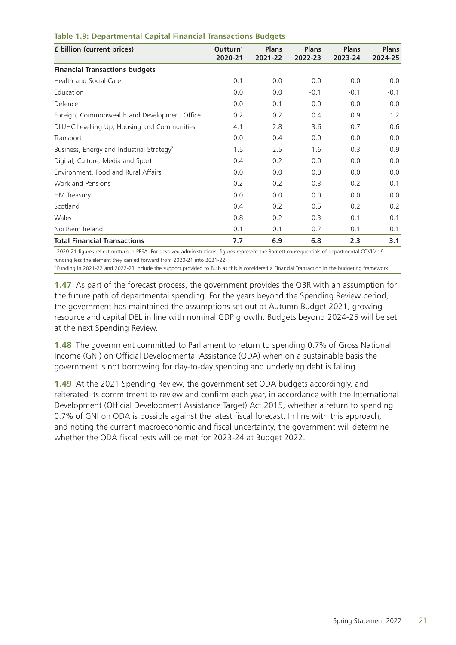| £ billion (current prices)                            | Outturn <sup>1</sup><br>2020-21 | <b>Plans</b><br>2021-22 | <b>Plans</b><br>2022-23 | <b>Plans</b><br>2023-24 | <b>Plans</b><br>2024-25 |
|-------------------------------------------------------|---------------------------------|-------------------------|-------------------------|-------------------------|-------------------------|
| <b>Financial Transactions budgets</b>                 |                                 |                         |                         |                         |                         |
| Health and Social Care                                | 0.1                             | 0.0                     | 0.0                     | 0.0                     | 0.0                     |
| Education                                             | 0.0                             | 0.0                     | $-0.1$                  | $-0.1$                  | $-0.1$                  |
| Defence                                               | 0.0                             | 0.1                     | 0.0                     | 0.0                     | 0.0                     |
| Foreign, Commonwealth and Development Office          | 0.2                             | 0.2                     | 0.4                     | 0.9                     | 1.2                     |
| DLUHC Levelling Up, Housing and Communities           | 4.1                             | 2.8                     | 3.6                     | 0.7                     | 0.6                     |
| Transport                                             | 0.0                             | 0.4                     | 0.0                     | 0.0                     | 0.0                     |
| Business, Energy and Industrial Strategy <sup>2</sup> | 1.5                             | 2.5                     | 1.6                     | 0.3                     | 0.9                     |
| Digital, Culture, Media and Sport                     | 0.4                             | 0.2                     | 0.0                     | 0.0                     | 0.0                     |
| Environment, Food and Rural Affairs                   | 0.0                             | 0.0                     | 0.0                     | 0.0                     | 0.0                     |
| Work and Pensions                                     | 0.2                             | 0.2                     | 0.3                     | 0.2                     | 0.1                     |
| HM Treasury                                           | 0.0                             | 0.0                     | 0.0                     | 0.0                     | 0.0                     |
| Scotland                                              | 0.4                             | 0.2                     | 0.5                     | 0.2                     | 0.2                     |
| Wales                                                 | 0.8                             | 0.2                     | 0.3                     | 0.1                     | 0.1                     |
| Northern Ireland                                      | 0.1                             | 0.1                     | 0.2                     | 0.1                     | 0.1                     |
| <b>Total Financial Transactions</b>                   | 7.7                             | 6.9                     | 6.8                     | 2.3                     | 3.1                     |

#### **Table 1.9: Departmental Capital Financial Transactions Budgets**

1 2020-21 figures reflect outturn in PESA. For devolved administrations, figures represent the Barnett consequentials of departmental COVID-19 funding less the element they carried forward from 2020-21 into 2021-22.

<sup>2</sup> Funding in 2021-22 and 2022-23 include the support provided to Bulb as this is considered a Financial Transaction in the budgeting framework.

**1.47** As part of the forecast process, the government provides the OBR with an assumption for the future path of departmental spending. For the years beyond the Spending Review period, the government has maintained the assumptions set out at Autumn Budget 2021, growing resource and capital DEL in line with nominal GDP growth. Budgets beyond 2024-25 will be set at the next Spending Review.

**1.48** The government committed to Parliament to return to spending 0.7% of Gross National Income (GNI) on Official Developmental Assistance (ODA) when on a sustainable basis the government is not borrowing for day-to-day spending and underlying debt is falling.

**1.49** At the 2021 Spending Review, the government set ODA budgets accordingly, and reiterated its commitment to review and confirm each year, in accordance with the International Development (Official Development Assistance Target) Act 2015, whether a return to spending 0.7% of GNI on ODA is possible against the latest fiscal forecast. In line with this approach, and noting the current macroeconomic and fiscal uncertainty, the government will determine whether the ODA fiscal tests will be met for 2023-24 at Budget 2022.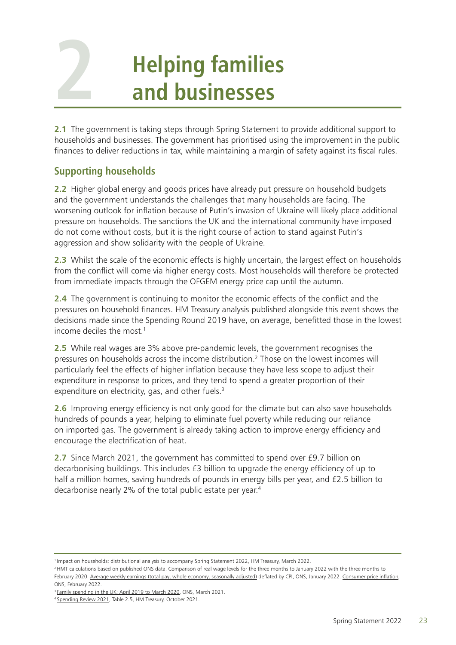# **Helping families and businesses**

**2.1** The government is taking steps through Spring Statement to provide additional support to households and businesses. The government has prioritised using the improvement in the public finances to deliver reductions in tax, while maintaining a margin of safety against its fiscal rules.

## **Supporting households**

<span id="page-27-0"></span>**2**

**2.2** Higher global energy and goods prices have already put pressure on household budgets and the government understands the challenges that many households are facing. The worsening outlook for inflation because of Putin's invasion of Ukraine will likely place additional pressure on households. The sanctions the UK and the international community have imposed do not come without costs, but it is the right course of action to stand against Putin's aggression and show solidarity with the people of Ukraine.

2.3 Whilst the scale of the economic effects is highly uncertain, the largest effect on households from the conflict will come via higher energy costs. Most households will therefore be protected from immediate impacts through the OFGEM energy price cap until the autumn.

**2.4** The government is continuing to monitor the economic effects of the conflict and the pressures on household finances. HM Treasury analysis published alongside this event shows the decisions made since the Spending Round 2019 have, on average, benefitted those in the lowest income deciles the most.1

**2.5** While real wages are 3% above pre-pandemic levels, the government recognises the pressures on households across the income distribution.<sup>2</sup> Those on the lowest incomes will particularly feel the effects of higher inflation because they have less scope to adjust their expenditure in response to prices, and they tend to spend a greater proportion of their expenditure on electricity, gas, and other fuels.<sup>3</sup>

**2.6** Improving energy efficiency is not only good for the climate but can also save households hundreds of pounds a year, helping to eliminate fuel poverty while reducing our reliance on imported gas. The government is already taking action to improve energy efficiency and encourage the electrification of heat.

**2.7** Since March 2021, the government has committed to spend over £9.7 billion on decarbonising buildings. This includes £3 billion to upgrade the energy efficiency of up to half a million homes, saving hundreds of pounds in energy bills per year, and £2.5 billion to decarbonise nearly 2% of the total public estate per year.4

<sup>1</sup> [Impact on households: distributional analysis to accompany Spring Statement 2022,](https://tris42.sharepoint.com/sites/hmt_is_spbfe/springforecast2022/Document/Chapter%20Authors/6.%20New%20chapter/distributional%20analysis%20to%20accompany%20Spring%20Statement%202022) HM Treasury, March 2022.

<sup>&</sup>lt;sup>2</sup> HMT calculations based on published ONS data. Comparison of real wage levels for the three months to January 2022 with the three months to February 2020. [Average weekly earnings \(total pay, whole economy, seasonally adjusted\)](https://www.ons.gov.uk/employmentandlabourmarket/peopleinwork/employmentandemployeetypes/bulletins/averageweeklyearningsingreatbritain/january2022) deflated by CPI, ONS, January 2022. [Consumer price inflation](https://www.ons.gov.uk/economy/inflationandpriceindices/bulletins/consumerpriceinflation/january2022), ONS, February 2022.

<sup>&</sup>lt;sup>3</sup> [Family spending in the UK: April 2019 to March 2020](https://www.ons.gov.uk/peoplepopulationandcommunity/personalandhouseholdfinances/expenditure/bulletins/familyspendingintheuk/april2019tomarch2020), ONS, March 2021.

<sup>4</sup> [Spending Review 2021,](https://assets.publishing.service.gov.uk/government/uploads/system/uploads/attachment_data/file/1043689/Budget_AB2021_Web_Accessible.pdf) Table 2.5, HM Treasury, October 2021.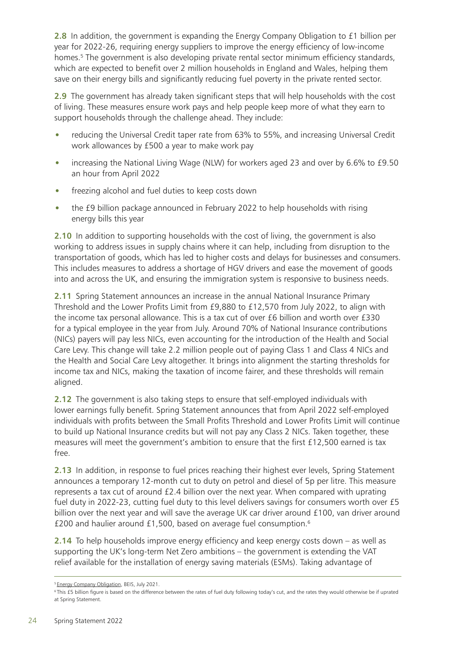**2.8** In addition, the government is expanding the Energy Company Obligation to £1 billion per year for 2022-26, requiring energy suppliers to improve the energy efficiency of low-income homes.<sup>5</sup> The government is also developing private rental sector minimum efficiency standards, which are expected to benefit over 2 million households in England and Wales, helping them save on their energy bills and significantly reducing fuel poverty in the private rented sector.

**2.9** The government has already taken significant steps that will help households with the cost of living. These measures ensure work pays and help people keep more of what they earn to support households through the challenge ahead. They include:

- reducing the Universal Credit taper rate from 63% to 55%, and increasing Universal Credit work allowances by £500 a year to make work pay
- increasing the National Living Wage (NLW) for workers aged 23 and over by 6.6% to £9.50 an hour from April 2022
- freezing alcohol and fuel duties to keep costs down
- the £9 billion package announced in February 2022 to help households with rising energy bills this year

**2.10** In addition to supporting households with the cost of living, the government is also working to address issues in supply chains where it can help, including from disruption to the transportation of goods, which has led to higher costs and delays for businesses and consumers. This includes measures to address a shortage of HGV drivers and ease the movement of goods into and across the UK, and ensuring the immigration system is responsive to business needs.

**2.11** Spring Statement announces an increase in the annual National Insurance Primary Threshold and the Lower Profits Limit from £9,880 to £12,570 from July 2022, to align with the income tax personal allowance. This is a tax cut of over £6 billion and worth over £330 for a typical employee in the year from July. Around 70% of National Insurance contributions (NICs) payers will pay less NICs, even accounting for the introduction of the Health and Social Care Levy. This change will take 2.2 million people out of paying Class 1 and Class 4 NICs and the Health and Social Care Levy altogether. It brings into alignment the starting thresholds for income tax and NICs, making the taxation of income fairer, and these thresholds will remain aligned.

**2.12** The government is also taking steps to ensure that self-employed individuals with lower earnings fully benefit. Spring Statement announces that from April 2022 self-employed individuals with profits between the Small Profits Threshold and Lower Profits Limit will continue to build up National Insurance credits but will not pay any Class 2 NICs. Taken together, these measures will meet the government's ambition to ensure that the first £12,500 earned is tax free.

**2.13** In addition, in response to fuel prices reaching their highest ever levels, Spring Statement announces a temporary 12-month cut to duty on petrol and diesel of 5p per litre. This measure represents a tax cut of around £2.4 billion over the next year. When compared with uprating fuel duty in 2022-23, cutting fuel duty to this level delivers savings for consumers worth over £5 billion over the next year and will save the average UK car driver around £100, van driver around £200 and haulier around £1,500, based on average fuel consumption.6

**2.14** To help households improve energy efficiency and keep energy costs down – as well as supporting the UK's long-term Net Zero ambitions – the government is extending the VAT relief available for the installation of energy saving materials (ESMs). Taking advantage of

<sup>&</sup>lt;sup>5</sup> [Energy Company Obligation,](https://assets.publishing.service.gov.uk/government/uploads/system/uploads/attachment_data/file/1010366/eco4-consultation.pdf) BEIS, July 2021.

<sup>&</sup>lt;sup>6</sup>This £5 billion figure is based on the difference between the rates of fuel duty following today's cut, and the rates they would otherwise be if uprated at Spring Statement.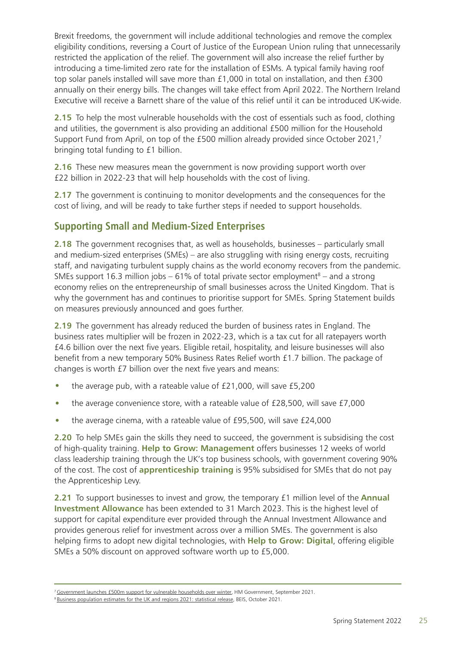Brexit freedoms, the government will include additional technologies and remove the complex eligibility conditions, reversing a Court of Justice of the European Union ruling that unnecessarily restricted the application of the relief. The government will also increase the relief further by introducing a time-limited zero rate for the installation of ESMs. A typical family having roof top solar panels installed will save more than £1,000 in total on installation, and then £300 annually on their energy bills. The changes will take effect from April 2022. The Northern Ireland Executive will receive a Barnett share of the value of this relief until it can be introduced UK-wide.

**2.15** To help the most vulnerable households with the cost of essentials such as food, clothing and utilities, the government is also providing an additional £500 million for the Household Support Fund from April, on top of the £500 million already provided since October 2021,7 bringing total funding to £1 billion.

**2.16** These new measures mean the government is now providing support worth over £22 billion in 2022-23 that will help households with the cost of living.

**2.17** The government is continuing to monitor developments and the consequences for the cost of living, and will be ready to take further steps if needed to support households.

## **Supporting Small and Medium-Sized Enterprises**

**2.18** The government recognises that, as well as households, businesses – particularly small and medium-sized enterprises (SMEs) – are also struggling with rising energy costs, recruiting staff, and navigating turbulent supply chains as the world economy recovers from the pandemic. SMEs support 16.3 million jobs  $-61\%$  of total private sector employment<sup>8</sup> – and a strong economy relies on the entrepreneurship of small businesses across the United Kingdom. That is why the government has and continues to prioritise support for SMEs. Spring Statement builds on measures previously announced and goes further.

**2.19** The government has already reduced the burden of business rates in England. The business rates multiplier will be frozen in 2022-23, which is a tax cut for all ratepayers worth £4.6 billion over the next five years. Eligible retail, hospitality, and leisure businesses will also benefit from a new temporary 50% Business Rates Relief worth £1.7 billion. The package of changes is worth £7 billion over the next five years and means:

- the average pub, with a rateable value of £21,000, will save £5,200
- the average convenience store, with a rateable value of £28,500, will save £7,000
- the average cinema, with a rateable value of £95,500, will save £24,000

**2.20** To help SMEs gain the skills they need to succeed, the government is subsidising the cost of high-quality training. **Help to Grow: Management** offers businesses 12 weeks of world class leadership training through the UK's top business schools, with government covering 90% of the cost. The cost of **apprenticeship training** is 95% subsidised for SMEs that do not pay the Apprenticeship Levy.

**2.21** To support businesses to invest and grow, the temporary £1 million level of the **Annual Investment Allowance** has been extended to 31 March 2023. This is the highest level of support for capital expenditure ever provided through the Annual Investment Allowance and provides generous relief for investment across over a million SMEs. The government is also helping firms to adopt new digital technologies, with **Help to Grow: Digital**, offering eligible SMEs a 50% discount on approved software worth up to £5,000.

<sup>&</sup>lt;sup>7</sup> [Government launches £500m support for vulnerable households over winter](https://www.gov.uk/government/news/government-launches-500m-support-for-vulnerable-households-over-winter), HM Government, September 2021.

<sup>&</sup>lt;sup>8</sup> Business population estimates for the UK and regions 2021: statistical release, BEIS, October 2021.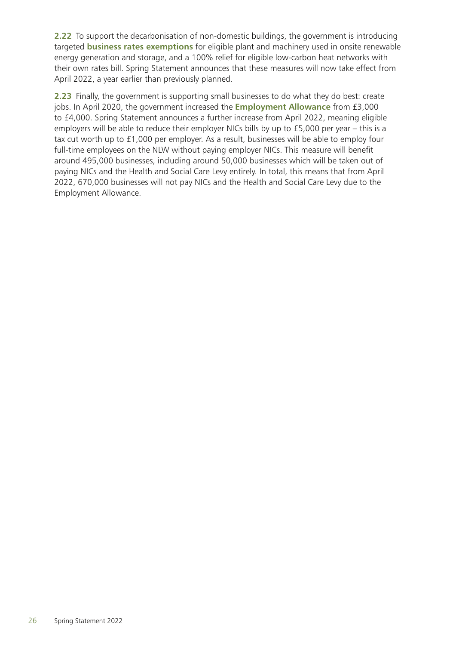**2.22** To support the decarbonisation of non-domestic buildings, the government is introducing targeted **business rates exemptions** for eligible plant and machinery used in onsite renewable energy generation and storage, and a 100% relief for eligible low-carbon heat networks with their own rates bill. Spring Statement announces that these measures will now take effect from April 2022, a year earlier than previously planned.

**2.23** Finally, the government is supporting small businesses to do what they do best: create jobs. In April 2020, the government increased the **Employment Allowance** from £3,000 to £4,000. Spring Statement announces a further increase from April 2022, meaning eligible employers will be able to reduce their employer NICs bills by up to £5,000 per year – this is a tax cut worth up to £1,000 per employer. As a result, businesses will be able to employ four full-time employees on the NLW without paying employer NICs. This measure will benefit around 495,000 businesses, including around 50,000 businesses which will be taken out of paying NICs and the Health and Social Care Levy entirely. In total, this means that from April 2022, 670,000 businesses will not pay NICs and the Health and Social Care Levy due to the Employment Allowance.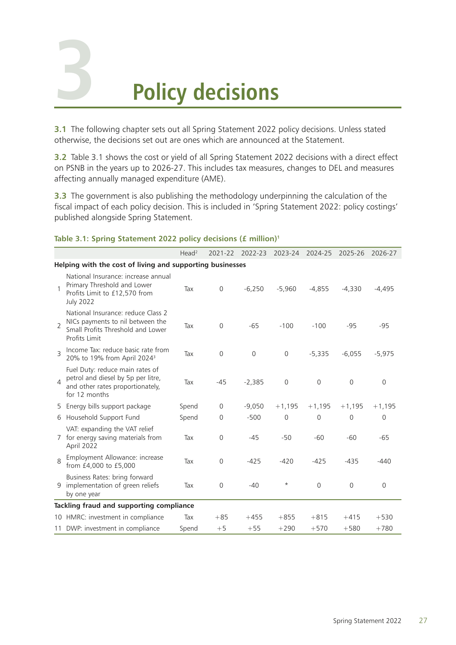# <span id="page-31-0"></span>**3**

# **Policy decisions**

**3.1** The following chapter sets out all Spring Statement 2022 policy decisions. Unless stated otherwise, the decisions set out are ones which are announced at the Statement.

**3.2** Table 3.1 shows the cost or yield of all Spring Statement 2022 decisions with a direct effect on PSNB in the years up to 2026-27. This includes tax measures, changes to DEL and measures affecting annually managed expenditure (AME).

**3.3** The government is also publishing the methodology underpinning the calculation of the fiscal impact of each policy decision. This is included in 'Spring Statement 2022: policy costings' published alongside Spring Statement.

|                |                                                                                                                              | Head <sup>2</sup> | 2021-22        | 2022-23        | 2023-24        | 2024-25        | 2025-26        | 2026-27        |
|----------------|------------------------------------------------------------------------------------------------------------------------------|-------------------|----------------|----------------|----------------|----------------|----------------|----------------|
|                | Helping with the cost of living and supporting businesses                                                                    |                   |                |                |                |                |                |                |
|                | National Insurance: increase annual<br>Primary Threshold and Lower<br>Profits Limit to £12,570 from<br><b>July 2022</b>      | Tax               | $\overline{0}$ | $-6.250$       | $-5.960$       | $-4.855$       | $-4.330$       | $-4.495$       |
| $\overline{2}$ | National Insurance: reduce Class 2<br>NICs payments to nil between the<br>Small Profits Threshold and Lower<br>Profits Limit | Tax               | $\Omega$       | $-65$          | $-100$         | $-100$         | $-95$          | $-95$          |
| 3              | Income Tax: reduce basic rate from<br>20% to 19% from April 2024 <sup>3</sup>                                                | Tax               | $\overline{0}$ | $\overline{0}$ | $\overline{0}$ | $-5.335$       | $-6,055$       | $-5,975$       |
| $\Delta$       | Fuel Duty: reduce main rates of<br>petrol and diesel by 5p per litre,<br>and other rates proportionately,<br>for 12 months   | Tax               | $-45$          | $-2,385$       | $\overline{0}$ | $\overline{0}$ | $\overline{0}$ | $\overline{0}$ |
|                | 5 Energy bills support package                                                                                               | Spend             | $\mathbf{0}$   | $-9,050$       | $+1,195$       | $+1,195$       | $+1,195$       | $+1,195$       |
|                | 6 Household Support Fund                                                                                                     | Spend             | $\Omega$       | $-500$         | $\Omega$       | $\Omega$       | $\Omega$       | $\Omega$       |
| 7              | VAT: expanding the VAT relief<br>for energy saving materials from<br>April 2022                                              | Tax               | $\overline{0}$ | $-45$          | $-50$          | $-60$          | $-60$          | $-65$          |
| 8              | Employment Allowance: increase<br>from £4,000 to £5,000                                                                      | Tax               | $\overline{0}$ | $-425$         | $-420$         | $-425$         | $-435$         | $-440$         |
|                | Business Rates: bring forward<br>9 implementation of green reliefs<br>by one year                                            | Tax               | 0              | $-40$          | $\star$        | $\overline{0}$ | $\mathbf 0$    | $\Omega$       |
|                | Tackling fraud and supporting compliance                                                                                     |                   |                |                |                |                |                |                |
|                | 10 HMRC: investment in compliance                                                                                            | Tax               | $+85$          | $+455$         | $+855$         | $+815$         | $+415$         | $+530$         |
| 11             | DWP: investment in compliance                                                                                                | Spend             | $+5$           | $+55$          | $+290$         | $+570$         | $+580$         | $+780$         |

#### **Table 3.1: Spring Statement 2022 policy decisions (£ million)1**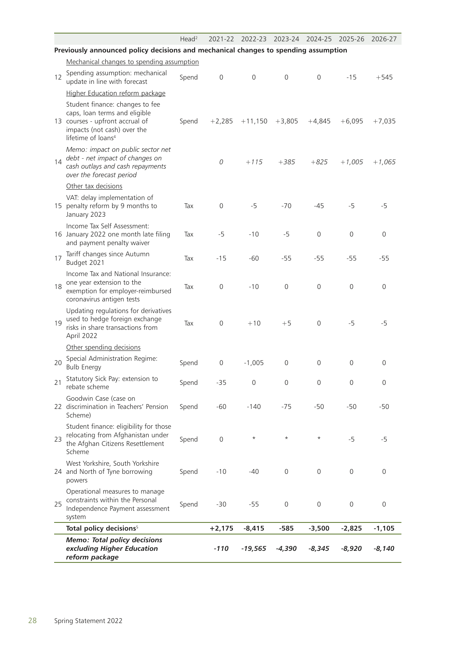|    |                                                                                                                                                                      | Head <sup>2</sup> | 2021-22             | 2022-23        | 2023-24          | 2024-25          | 2025-26        | 2026-27          |
|----|----------------------------------------------------------------------------------------------------------------------------------------------------------------------|-------------------|---------------------|----------------|------------------|------------------|----------------|------------------|
|    | Previously announced policy decisions and mechanical changes to spending assumption                                                                                  |                   |                     |                |                  |                  |                |                  |
|    | Mechanical changes to spending assumption                                                                                                                            |                   |                     |                |                  |                  |                |                  |
| 12 | Spending assumption: mechanical<br>update in line with forecast                                                                                                      | Spend             | $\overline{0}$      | $\overline{0}$ | $\Omega$         | $\overline{0}$   | $-15$          | $+545$           |
|    | Higher Education reform package                                                                                                                                      |                   |                     |                |                  |                  |                |                  |
|    | Student finance: changes to fee<br>caps, loan terms and eligible<br>13 courses - upfront accrual of<br>impacts (not cash) over the<br>lifetime of loans <sup>4</sup> | Spend             | $+2,285$            | $+11,150$      | $+3,805$         | $+4,845$         | $+6,095$       | $+7,035$         |
| 14 | Memo: impact on public sector net<br>debt - net impact of changes on<br>cash outlays and cash repayments<br>over the forecast period                                 |                   | 0                   | $+115$         | $+385$           | $+825$           | $+1,005$       | $+1,065$         |
|    | Other tax decisions                                                                                                                                                  |                   |                     |                |                  |                  |                |                  |
|    | VAT: delay implementation of<br>15 penalty reform by 9 months to<br>January 2023                                                                                     | Tax               | $\overline{0}$      | $-5$           | $-70$            | $-45$            | $-5$           | $-5$             |
|    | Income Tax Self Assessment:<br>16 January 2022 one month late filing<br>and payment penalty waiver                                                                   | Tax               | $-5$                | $-10$          | $-5$             | $\mathbf 0$      | $\overline{0}$ | $\overline{0}$   |
| 17 | Tariff changes since Autumn<br>Budget 2021                                                                                                                           | Tax               | $-15$               | $-60$          | $-55$            | $-55$            | $-55$          | $-55$            |
| 18 | Income Tax and National Insurance:<br>one year extension to the<br>exemption for employer-reimbursed<br>coronavirus antigen tests                                    | Tax               | $\overline{0}$      | $-10$          | $\mathbf{0}$     | $\overline{0}$   | $\overline{0}$ | $\overline{0}$   |
| 19 | Updating regulations for derivatives<br>used to hedge foreign exchange<br>risks in share transactions from<br>April 2022                                             | Tax               | $\mathsf{O}\xspace$ | $+10$          | $+5$             | $\overline{0}$   | $-5$           | $-5$             |
|    | Other spending decisions                                                                                                                                             |                   |                     |                |                  |                  |                |                  |
| 20 | Special Administration Regime:<br><b>Bulb Energy</b>                                                                                                                 | Spend             | $\mathbf 0$         | $-1,005$       | $\overline{0}$   | $\overline{0}$   | $\mathbf 0$    | $\mathbf 0$      |
| 21 | Statutory Sick Pay: extension to<br>rebate scheme                                                                                                                    | Spend             | $-35$               | $\mathbf 0$    | $\boldsymbol{0}$ | $\boldsymbol{0}$ | $\overline{0}$ | $\mathbf 0$      |
|    | Goodwin Case (case on<br>22 discrimination in Teachers' Pension<br>Scheme)                                                                                           | Spend             | $-60$               | $-140$         | $-75$            | $-50$            | $-50$          | $-50$            |
| 23 | Student finance: eligibility for those<br>relocating from Afghanistan under<br>the Afghan Citizens Resettlement<br>Scheme                                            | Spend             | $\mathsf{O}\xspace$ | $^\star$       | $\star$          | $^\star$         | $-5$           | $-5$             |
|    | West Yorkshire, South Yorkshire<br>24 and North of Tyne borrowing<br>powers                                                                                          | Spend             | $-10$               | $-40$          | $\mathbf 0$      | $\mathbf 0$      | 0              | $\overline{0}$   |
| 25 | Operational measures to manage<br>constraints within the Personal<br>Independence Payment assessment<br>system                                                       | Spend             | $-30$               | $-55$          | $\mathbf 0$      | $\mathbf 0$      | $\overline{0}$ | $\boldsymbol{0}$ |
|    | Total policy decisions <sup>5</sup>                                                                                                                                  |                   | $+2,175$            | $-8,415$       | $-585$           | $-3,500$         | $-2,825$       | $-1,105$         |
|    | <b>Memo: Total policy decisions</b><br>excluding Higher Education<br>reform package                                                                                  |                   | $-110$              | $-19,565$      | $-4,390$         | $-8,345$         | $-8,920$       | $-8,140$         |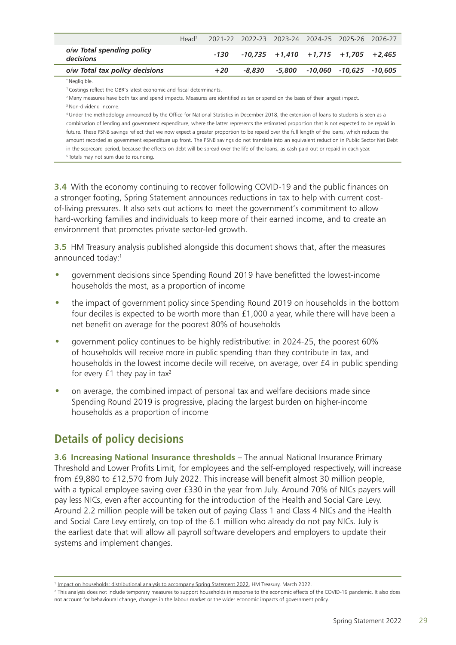|                                        | Head <sup>2</sup> |       |        |  | 2021-22 2022-23 2023-24 2024-25 2025-26 2026-27      |  |
|----------------------------------------|-------------------|-------|--------|--|------------------------------------------------------|--|
| o/w Total spending policy<br>decisions |                   |       |        |  | $-130$ $-10.735$ $+1.410$ $+1.715$ $+1.705$ $+2.465$ |  |
| o/w Total tax policy decisions         |                   | $+20$ | -8.830 |  | -5.800 -10.060 -10.625 -10.605                       |  |
|                                        |                   |       |        |  |                                                      |  |

\* Negligible.

<sup>1</sup> Costings reflect the OBR's latest economic and fiscal determinants.

<sup>2</sup> Many measures have both tax and spend impacts. Measures are identified as tax or spend on the basis of their largest impact.

<sup>3</sup> Non-dividend income.

4 Under the methodology announced by the Office for National Statistics in December 2018, the extension of loans to students is seen as a combination of lending and government expenditure, where the latter represents the estimated proportion that is not expected to be repaid in future. These PSNB savings reflect that we now expect a greater proportion to be repaid over the full length of the loans, which reduces the amount recorded as government expenditure up front. The PSNB savings do not translate into an equivalent reduction in Public Sector Net Debt in the scorecard period, because the effects on debt will be spread over the life of the loans, as cash paid out or repaid in each year. <sup>5</sup> Totals may not sum due to rounding.

**3.4** With the economy continuing to recover following COVID-19 and the public finances on a stronger footing, Spring Statement announces reductions in tax to help with current costof-living pressures. It also sets out actions to meet the government's commitment to allow hard-working families and individuals to keep more of their earned income, and to create an environment that promotes private sector-led growth.

**3.5** HM Treasury analysis published alongside this document shows that, after the measures announced today:1

- government decisions since Spending Round 2019 have benefitted the lowest-income households the most, as a proportion of income
- the impact of government policy since Spending Round 2019 on households in the bottom four deciles is expected to be worth more than £1,000 a year, while there will have been a net benefit on average for the poorest 80% of households
- government policy continues to be highly redistributive: in 2024-25, the poorest 60% of households will receive more in public spending than they contribute in tax, and households in the lowest income decile will receive, on average, over £4 in public spending for every  $£1$  they pay in tax<sup>2</sup>
- on average, the combined impact of personal tax and welfare decisions made since Spending Round 2019 is progressive, placing the largest burden on higher-income households as a proportion of income

# **Details of policy decisions**

**3.6 Increasing National Insurance thresholds** – The annual National Insurance Primary Threshold and Lower Profits Limit, for employees and the self-employed respectively, will increase from £9,880 to £12,570 from July 2022. This increase will benefit almost 30 million people, with a typical employee saving over £330 in the year from July. Around 70% of NICs payers will pay less NICs, even after accounting for the introduction of the Health and Social Care Levy. Around 2.2 million people will be taken out of paying Class 1 and Class 4 NICs and the Health and Social Care Levy entirely, on top of the 6.1 million who already do not pay NICs. July is the earliest date that will allow all payroll software developers and employers to update their systems and implement changes.

<sup>1</sup> [Impact on households: distributional analysis to accompany Spring Statement 2022,](https://tris42.sharepoint.com/sites/hmt_is_spbfe/springforecast2022/Document/Chapter Authors/6. New chapter/distributional analysis to accompany Spring Statement 2022) HM Treasury, March 2022.

<sup>&</sup>lt;sup>2</sup> This analysis does not include temporary measures to support households in response to the economic effects of the COVID-19 pandemic. It also does not account for behavioural change, changes in the labour market or the wider economic impacts of government policy.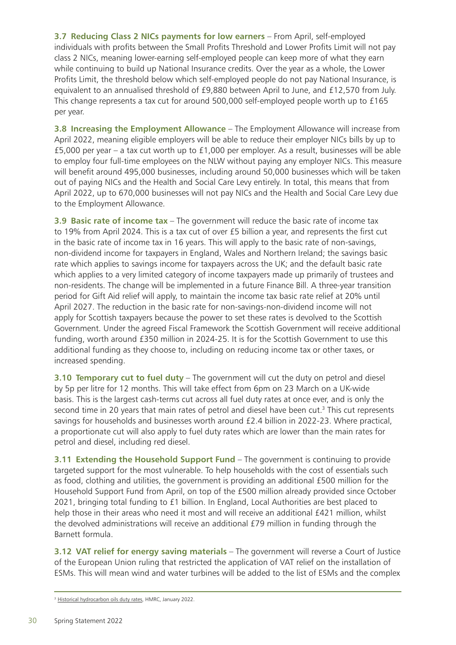**3.7 Reducing Class 2 NICs payments for low earners** – From April, self-employed individuals with profits between the Small Profits Threshold and Lower Profits Limit will not pay class 2 NICs, meaning lower-earning self-employed people can keep more of what they earn while continuing to build up National Insurance credits. Over the year as a whole, the Lower Profits Limit, the threshold below which self-employed people do not pay National Insurance, is equivalent to an annualised threshold of £9,880 between April to June, and £12,570 from July. This change represents a tax cut for around 500,000 self-employed people worth up to £165 per year.

**3.8 Increasing the Employment Allowance** – The Employment Allowance will increase from April 2022, meaning eligible employers will be able to reduce their employer NICs bills by up to £5,000 per year – a tax cut worth up to £1,000 per employer. As a result, businesses will be able to employ four full-time employees on the NLW without paying any employer NICs. This measure will benefit around 495,000 businesses, including around 50,000 businesses which will be taken out of paying NICs and the Health and Social Care Levy entirely. In total, this means that from April 2022, up to 670,000 businesses will not pay NICs and the Health and Social Care Levy due to the Employment Allowance.

**3.9 Basic rate of income tax** – The government will reduce the basic rate of income tax to 19% from April 2024. This is a tax cut of over £5 billion a year, and represents the first cut in the basic rate of income tax in 16 years. This will apply to the basic rate of non-savings, non-dividend income for taxpayers in England, Wales and Northern Ireland; the savings basic rate which applies to savings income for taxpayers across the UK; and the default basic rate which applies to a very limited category of income taxpayers made up primarily of trustees and non-residents. The change will be implemented in a future Finance Bill. A three-year transition period for Gift Aid relief will apply, to maintain the income tax basic rate relief at 20% until April 2027. The reduction in the basic rate for non-savings-non-dividend income will not apply for Scottish taxpayers because the power to set these rates is devolved to the Scottish Government. Under the agreed Fiscal Framework the Scottish Government will receive additional funding, worth around £350 million in 2024-25. It is for the Scottish Government to use this additional funding as they choose to, including on reducing income tax or other taxes, or increased spending.

**3.10 Temporary cut to fuel duty** – The government will cut the duty on petrol and diesel by 5p per litre for 12 months. This will take effect from 6pm on 23 March on a UK-wide basis. This is the largest cash-terms cut across all fuel duty rates at once ever, and is only the second time in 20 years that main rates of petrol and diesel have been cut.<sup>3</sup> This cut represents savings for households and businesses worth around £2.4 billion in 2022-23. Where practical, a proportionate cut will also apply to fuel duty rates which are lower than the main rates for petrol and diesel, including red diesel.

**3.11 Extending the Household Support Fund** – The government is continuing to provide targeted support for the most vulnerable. To help households with the cost of essentials such as food, clothing and utilities, the government is providing an additional £500 million for the Household Support Fund from April, on top of the £500 million already provided since October 2021, bringing total funding to £1 billion. In England, Local Authorities are best placed to help those in their areas who need it most and will receive an additional £421 million, whilst the devolved administrations will receive an additional £79 million in funding through the Barnett formula.

**3.12 VAT relief for energy saving materials** – The government will reverse a Court of Justice of the European Union ruling that restricted the application of VAT relief on the installation of ESMs. This will mean wind and water turbines will be added to the list of ESMs and the complex

<sup>&</sup>lt;sup>3</sup> [Historical hydrocarbon oils duty rates,](https://www.gov.uk/government/statistics/hydrocarbon-oils-bulletin/historical-hydrocarbon-oils-duty-rates--2) HMRC, January 2022.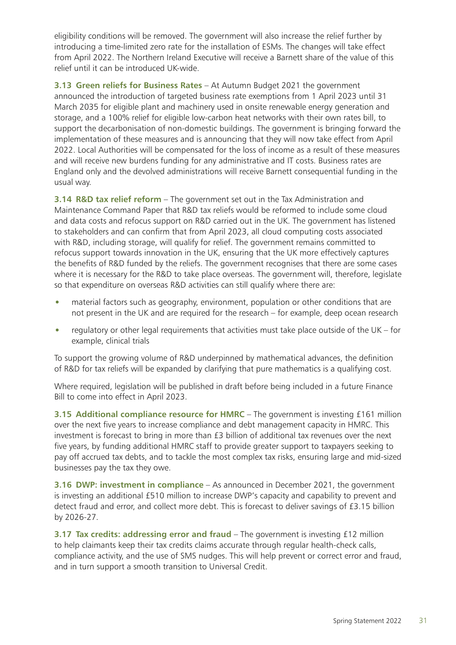eligibility conditions will be removed. The government will also increase the relief further by introducing a time-limited zero rate for the installation of ESMs. The changes will take effect from April 2022. The Northern Ireland Executive will receive a Barnett share of the value of this relief until it can be introduced UK-wide.

**3.13 Green reliefs for Business Rates** – At Autumn Budget 2021 the government announced the introduction of targeted business rate exemptions from 1 April 2023 until 31 March 2035 for eligible plant and machinery used in onsite renewable energy generation and storage, and a 100% relief for eligible low-carbon heat networks with their own rates bill, to support the decarbonisation of non-domestic buildings. The government is bringing forward the implementation of these measures and is announcing that they will now take effect from April 2022. Local Authorities will be compensated for the loss of income as a result of these measures and will receive new burdens funding for any administrative and IT costs. Business rates are England only and the devolved administrations will receive Barnett consequential funding in the usual way.

**3.14 R&D tax relief reform** – The government set out in the Tax Administration and Maintenance Command Paper that R&D tax reliefs would be reformed to include some cloud and data costs and refocus support on R&D carried out in the UK. The government has listened to stakeholders and can confirm that from April 2023, all cloud computing costs associated with R&D, including storage, will qualify for relief. The government remains committed to refocus support towards innovation in the UK, ensuring that the UK more effectively captures the benefits of R&D funded by the reliefs. The government recognises that there are some cases where it is necessary for the R&D to take place overseas. The government will, therefore, legislate so that expenditure on overseas R&D activities can still qualify where there are:

- material factors such as geography, environment, population or other conditions that are not present in the UK and are required for the research – for example, deep ocean research
- regulatory or other legal requirements that activities must take place outside of the UK for example, clinical trials

To support the growing volume of R&D underpinned by mathematical advances, the definition of R&D for tax reliefs will be expanded by clarifying that pure mathematics is a qualifying cost.

Where required, legislation will be published in draft before being included in a future Finance Bill to come into effect in April 2023.

**3.15 Additional compliance resource for HMRC** – The government is investing £161 million over the next five years to increase compliance and debt management capacity in HMRC. This investment is forecast to bring in more than £3 billion of additional tax revenues over the next five years, by funding additional HMRC staff to provide greater support to taxpayers seeking to pay off accrued tax debts, and to tackle the most complex tax risks, ensuring large and mid-sized businesses pay the tax they owe.

**3.16 DWP: investment in compliance** – As announced in December 2021, the government is investing an additional £510 million to increase DWP's capacity and capability to prevent and detect fraud and error, and collect more debt. This is forecast to deliver savings of £3.15 billion by 2026-27.

**3.17 Tax credits: addressing error and fraud** – The government is investing £12 million to help claimants keep their tax credits claims accurate through regular health-check calls, compliance activity, and the use of SMS nudges. This will help prevent or correct error and fraud, and in turn support a smooth transition to Universal Credit.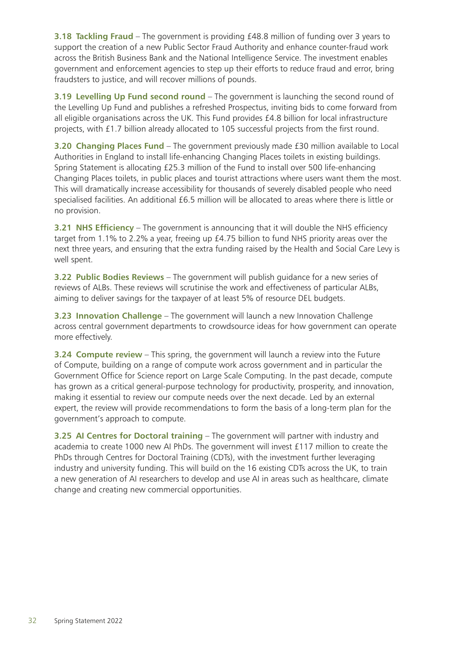**3.18 Tackling Fraud** – The government is providing £48.8 million of funding over 3 years to support the creation of a new Public Sector Fraud Authority and enhance counter-fraud work across the British Business Bank and the National Intelligence Service. The investment enables government and enforcement agencies to step up their efforts to reduce fraud and error, bring fraudsters to justice, and will recover millions of pounds.

**3.19 Levelling Up Fund second round** – The government is launching the second round of the Levelling Up Fund and publishes a refreshed Prospectus, inviting bids to come forward from all eligible organisations across the UK. This Fund provides £4.8 billion for local infrastructure projects, with £1.7 billion already allocated to 105 successful projects from the first round.

**3.20 Changing Places Fund** – The government previously made £30 million available to Local Authorities in England to install life-enhancing Changing Places toilets in existing buildings. Spring Statement is allocating £25.3 million of the Fund to install over 500 life-enhancing Changing Places toilets, in public places and tourist attractions where users want them the most. This will dramatically increase accessibility for thousands of severely disabled people who need specialised facilities. An additional £6.5 million will be allocated to areas where there is little or no provision.

**3.21 NHS Efficiency** – The government is announcing that it will double the NHS efficiency target from 1.1% to 2.2% a year, freeing up £4.75 billion to fund NHS priority areas over the next three years, and ensuring that the extra funding raised by the Health and Social Care Levy is well spent.

**3.22 Public Bodies Reviews** – The government will publish guidance for a new series of reviews of ALBs. These reviews will scrutinise the work and effectiveness of particular ALBs, aiming to deliver savings for the taxpayer of at least 5% of resource DEL budgets.

**3.23 Innovation Challenge** – The government will launch a new Innovation Challenge across central government departments to crowdsource ideas for how government can operate more effectively.

**3.24 Compute review** – This spring, the government will launch a review into the Future of Compute, building on a range of compute work across government and in particular the Government Office for Science report on Large Scale Computing. In the past decade, compute has grown as a critical general-purpose technology for productivity, prosperity, and innovation, making it essential to review our compute needs over the next decade. Led by an external expert, the review will provide recommendations to form the basis of a long-term plan for the government's approach to compute.

**3.25 AI Centres for Doctoral training** – The government will partner with industry and academia to create 1000 new AI PhDs. The government will invest £117 million to create the PhDs through Centres for Doctoral Training (CDTs), with the investment further leveraging industry and university funding. This will build on the 16 existing CDTs across the UK, to train a new generation of AI researchers to develop and use AI in areas such as healthcare, climate change and creating new commercial opportunities.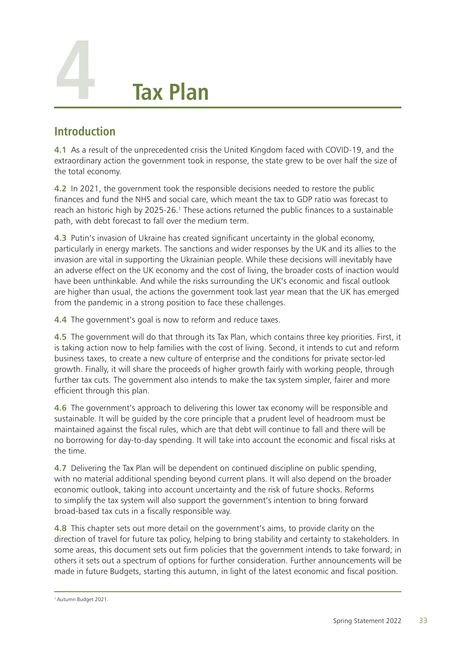<span id="page-37-0"></span>

# **Introduction**

**4.1** As a result of the unprecedented crisis the United Kingdom faced with COVID-19, and the extraordinary action the government took in response, the state grew to be over half the size of the total economy.

**4.2** In 2021, the government took the responsible decisions needed to restore the public finances and fund the NHS and social care, which meant the tax to GDP ratio was forecast to reach an historic high by 2025-26.<sup>1</sup> These actions returned the public finances to a sustainable path, with debt forecast to fall over the medium term.

**4.3** Putin's invasion of Ukraine has created significant uncertainty in the global economy, particularly in energy markets. The sanctions and wider responses by the UK and its allies to the invasion are vital in supporting the Ukrainian people. While these decisions will inevitably have an adverse effect on the UK economy and the cost of living, the broader costs of inaction would have been unthinkable. And while the risks surrounding the UK's economic and fiscal outlook are higher than usual, the actions the government took last year mean that the UK has emerged from the pandemic in a strong position to face these challenges.

**4.4** The government's goal is now to reform and reduce taxes.

**4.5** The government will do that through its Tax Plan, which contains three key priorities. First, it is taking action now to help families with the cost of living. Second, it intends to cut and reform business taxes, to create a new culture of enterprise and the conditions for private sector-led growth. Finally, it will share the proceeds of higher growth fairly with working people, through further tax cuts. The government also intends to make the tax system simpler, fairer and more efficient through this plan.

**4.6** The government's approach to delivering this lower tax economy will be responsible and sustainable. It will be guided by the core principle that a prudent level of headroom must be maintained against the fiscal rules, which are that debt will continue to fall and there will be no borrowing for day-to-day spending. It will take into account the economic and fiscal risks at the time.

**4.7** Delivering the Tax Plan will be dependent on continued discipline on public spending, with no material additional spending beyond current plans. It will also depend on the broader economic outlook, taking into account uncertainty and the risk of future shocks. Reforms to simplify the tax system will also support the government's intention to bring forward broad-based tax cuts in a fiscally responsible way.

**4.8** This chapter sets out more detail on the government's aims, to provide clarity on the direction of travel for future tax policy, helping to bring stability and certainty to stakeholders. In some areas, this document sets out firm policies that the government intends to take forward; in others it sets out a spectrum of options for further consideration. Further announcements will be made in future Budgets, starting this autumn, in light of the latest economic and fiscal position.

<sup>1</sup> Autumn Budget 2021.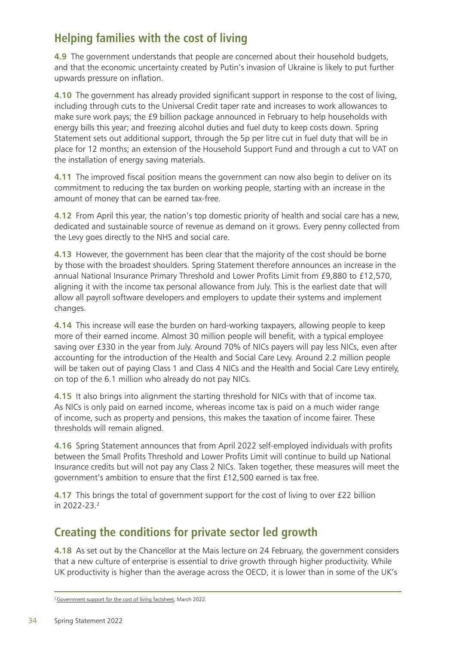# **Helping families with the cost of living**

**4.9** The government understands that people are concerned about their household budgets, and that the economic uncertainty created by Putin's invasion of Ukraine is likely to put further upwards pressure on inflation.

**4.10** The government has already provided significant support in response to the cost of living, including through cuts to the Universal Credit taper rate and increases to work allowances to make sure work pays; the £9 billion package announced in February to help households with energy bills this year; and freezing alcohol duties and fuel duty to keep costs down. Spring Statement sets out additional support, through the 5p per litre cut in fuel duty that will be in place for 12 months; an extension of the Household Support Fund and through a cut to VAT on the installation of energy saving materials.

**4.11** The improved fiscal position means the government can now also begin to deliver on its commitment to reducing the tax burden on working people, starting with an increase in the amount of money that can be earned tax-free.

**4.12** From April this year, the nation's top domestic priority of health and social care has a new, dedicated and sustainable source of revenue as demand on it grows. Every penny collected from the Levy goes directly to the NHS and social care.

**4.13** However, the government has been clear that the majority of the cost should be borne by those with the broadest shoulders. Spring Statement therefore announces an increase in the annual National Insurance Primary Threshold and Lower Profits Limit from £9,880 to £12,570, aligning it with the income tax personal allowance from July. This is the earliest date that will allow all payroll software developers and employers to update their systems and implement changes.

**4.14** This increase will ease the burden on hard-working taxpayers, allowing people to keep more of their earned income. Almost 30 million people will benefit, with a typical employee saving over £330 in the year from July. Around 70% of NICs payers will pay less NICs, even after accounting for the introduction of the Health and Social Care Levy. Around 2.2 million people will be taken out of paying Class 1 and Class 4 NICs and the Health and Social Care Levy entirely, on top of the 6.1 million who already do not pay NICs.

**4.15** It also brings into alignment the starting threshold for NICs with that of income tax. As NICs is only paid on earned income, whereas income tax is paid on a much wider range of income, such as property and pensions, this makes the taxation of income fairer. These thresholds will remain aligned.

**4.16** Spring Statement announces that from April 2022 self-employed individuals with profits between the Small Profits Threshold and Lower Profits Limit will continue to build up National Insurance credits but will not pay any Class 2 NICs. Taken together, these measures will meet the government's ambition to ensure that the first £12,500 earned is tax free.

**4.17** This brings the total of government support for the cost of living to over £22 billion in 2022-23.2

# **Creating the conditions for private sector led growth**

**4.18** As set out by the Chancellor at the Mais lecture on 24 February, the government considers that a new culture of enterprise is essential to drive growth through higher productivity. While UK productivity is higher than the average across the OECD, it is lower than in some of the UK's

<sup>&</sup>lt;sup>2</sup> [Government support for the cost of living factsheet](https://www.gov.uk/government/publications/government-support-for-the-cost-of-living-factsheet), March 2022.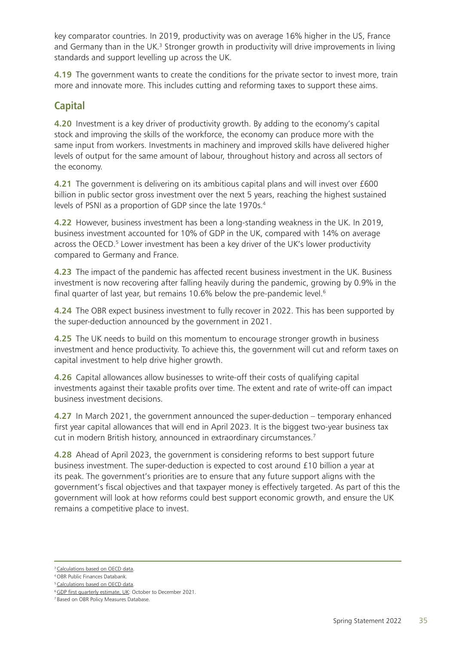key comparator countries. In 2019, productivity was on average 16% higher in the US, France and Germany than in the UK.<sup>3</sup> Stronger growth in productivity will drive improvements in living standards and support levelling up across the UK.

**4.19** The government wants to create the conditions for the private sector to invest more, train more and innovate more. This includes cutting and reforming taxes to support these aims.

## **Capital**

**4.20** Investment is a key driver of productivity growth. By adding to the economy's capital stock and improving the skills of the workforce, the economy can produce more with the same input from workers. Investments in machinery and improved skills have delivered higher levels of output for the same amount of labour, throughout history and across all sectors of the economy.

**4.21** The government is delivering on its ambitious capital plans and will invest over £600 billion in public sector gross investment over the next 5 years, reaching the highest sustained levels of PSNI as a proportion of GDP since the late 1970s.<sup>4</sup>

**4.22** However, business investment has been a long-standing weakness in the UK. In 2019, business investment accounted for 10% of GDP in the UK, compared with 14% on average across the OECD.<sup>5</sup> Lower investment has been a key driver of the UK's lower productivity compared to Germany and France.

**4.23** The impact of the pandemic has affected recent business investment in the UK. Business investment is now recovering after falling heavily during the pandemic, growing by 0.9% in the final quarter of last year, but remains 10.6% below the pre-pandemic level.<sup>6</sup>

**4.24** The OBR expect business investment to fully recover in 2022. This has been supported by the super-deduction announced by the government in 2021.

**4.25** The UK needs to build on this momentum to encourage stronger growth in business investment and hence productivity. To achieve this, the government will cut and reform taxes on capital investment to help drive higher growth.

**4.26** Capital allowances allow businesses to write-off their costs of qualifying capital investments against their taxable profits over time. The extent and rate of write-off can impact business investment decisions.

**4.27** In March 2021, the government announced the super-deduction – temporary enhanced first year capital allowances that will end in April 2023. It is the biggest two-year business tax cut in modern British history, announced in extraordinary circumstances.7

**4.28** Ahead of April 2023, the government is considering reforms to best support future business investment. The super-deduction is expected to cost around £10 billion a year at its peak. The government's priorities are to ensure that any future support aligns with the government's fiscal objectives and that taxpayer money is effectively targeted. As part of this the government will look at how reforms could best support economic growth, and ensure the UK remains a competitive place to invest.

<sup>&</sup>lt;sup>3</sup> [Calculations based on OECD data.](https://data.oecd.org/)

<sup>4</sup> [OBR Public Finances Databank](https://obr.uk/data/).

<sup>&</sup>lt;sup>5</sup> [Calculations based on OECD data.](https://data.oecd.org/)

<sup>&</sup>lt;sup>6</sup> [GDP first quarterly estimate, UK](https://www.ons.gov.uk/economy/grossdomesticproductgdp/bulletins/gdpfirstquarterlyestimateuk/octobertodecember2021): October to December 2021.

<sup>7</sup> Based on OBR Policy Measures Database.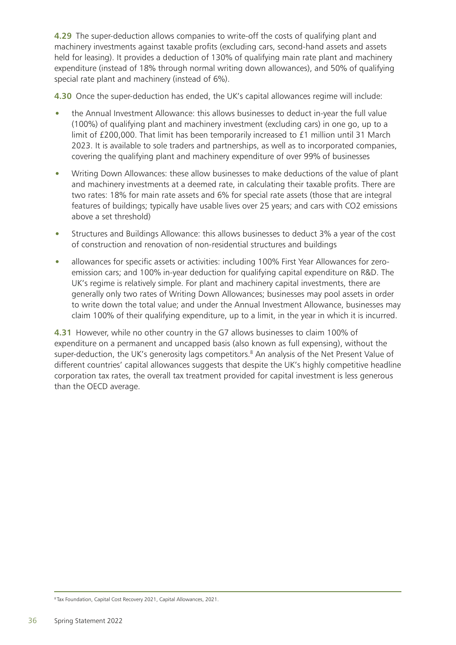**4.29** The super-deduction allows companies to write-off the costs of qualifying plant and machinery investments against taxable profits (excluding cars, second-hand assets and assets held for leasing). It provides a deduction of 130% of qualifying main rate plant and machinery expenditure (instead of 18% through normal writing down allowances), and 50% of qualifying special rate plant and machinery (instead of 6%).

**4.30** Once the super-deduction has ended, the UK's capital allowances regime will include:

- the Annual Investment Allowance: this allows businesses to deduct in-year the full value (100%) of qualifying plant and machinery investment (excluding cars) in one go, up to a limit of £200,000. That limit has been temporarily increased to £1 million until 31 March 2023. It is available to sole traders and partnerships, as well as to incorporated companies, covering the qualifying plant and machinery expenditure of over 99% of businesses
- Writing Down Allowances: these allow businesses to make deductions of the value of plant and machinery investments at a deemed rate, in calculating their taxable profits. There are two rates: 18% for main rate assets and 6% for special rate assets (those that are integral features of buildings; typically have usable lives over 25 years; and cars with CO2 emissions above a set threshold)
- Structures and Buildings Allowance: this allows businesses to deduct 3% a year of the cost of construction and renovation of non-residential structures and buildings
- allowances for specific assets or activities: including 100% First Year Allowances for zeroemission cars; and 100% in-year deduction for qualifying capital expenditure on R&D. The UK's regime is relatively simple. For plant and machinery capital investments, there are generally only two rates of Writing Down Allowances; businesses may pool assets in order to write down the total value; and under the Annual Investment Allowance, businesses may claim 100% of their qualifying expenditure, up to a limit, in the year in which it is incurred.

**4.31** However, while no other country in the G7 allows businesses to claim 100% of expenditure on a permanent and uncapped basis (also known as full expensing), without the super-deduction, the UK's generosity lags competitors.<sup>8</sup> An analysis of the Net Present Value of different countries' capital allowances suggests that despite the UK's highly competitive headline corporation tax rates, the overall tax treatment provided for capital investment is less generous than the OECD average.

<sup>8</sup> Tax Foundation, Capital Cost Recovery 2021, Capital Allowances, 2021.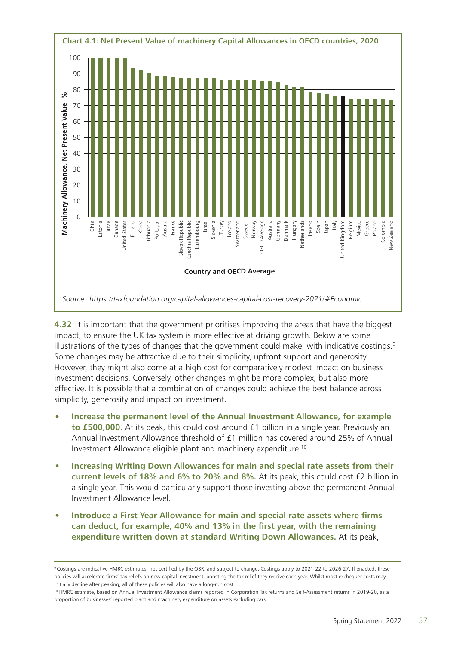

**4.32** It is important that the government prioritises improving the areas that have the biggest impact, to ensure the UK tax system is more effective at driving growth. Below are some illustrations of the types of changes that the government could make, with indicative costings. $9$ Some changes may be attractive due to their simplicity, upfront support and generosity. However, they might also come at a high cost for comparatively modest impact on business investment decisions. Conversely, other changes might be more complex, but also more effective. It is possible that a combination of changes could achieve the best balance across simplicity, generosity and impact on investment.

- **Increase the permanent level of the Annual Investment Allowance, for example to £500,000.** At its peak, this could cost around £1 billion in a single year. Previously an Annual Investment Allowance threshold of £1 million has covered around 25% of Annual Investment Allowance eligible plant and machinery expenditure.10
- **Increasing Writing Down Allowances for main and special rate assets from their current levels of 18% and 6% to 20% and 8%.** At its peak, this could cost £2 billion in a single year. This would particularly support those investing above the permanent Annual Investment Allowance level.
- **Introduce a First Year Allowance for main and special rate assets where firms can deduct, for example, 40% and 13% in the first year, with the remaining expenditure written down at standard Writing Down Allowances.** At its peak,

<sup>9</sup> Costings are indicative HMRC estimates, not certified by the OBR, and subject to change. Costings apply to 2021-22 to 2026-27. If enacted, these policies will accelerate firms' tax reliefs on new capital investment, boosting the tax relief they receive each year. Whilst most exchequer costs may initially decline after peaking, all of these policies will also have a long-run cost.

<sup>&</sup>lt;sup>10</sup> HMRC estimate, based on Annual Investment Allowance claims reported in Corporation Tax returns and Self-Assessment returns in 2019-20, as a proportion of businesses' reported plant and machinery expenditure on assets excluding cars.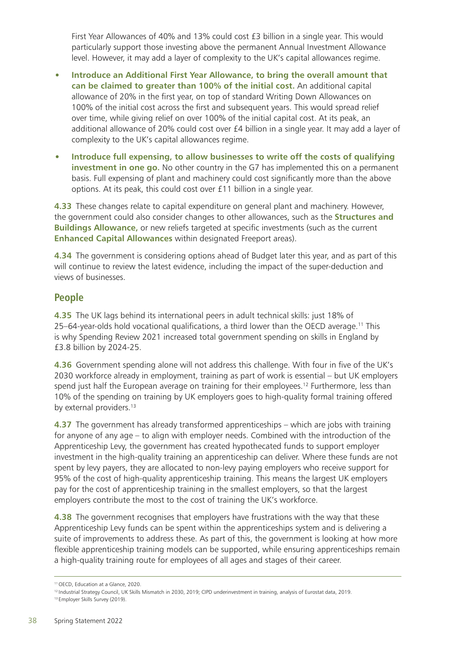First Year Allowances of 40% and 13% could cost £3 billion in a single year. This would particularly support those investing above the permanent Annual Investment Allowance level. However, it may add a layer of complexity to the UK's capital allowances regime.

- **Introduce an Additional First Year Allowance, to bring the overall amount that can be claimed to greater than 100% of the initial cost.** An additional capital allowance of 20% in the first year, on top of standard Writing Down Allowances on 100% of the initial cost across the first and subsequent years. This would spread relief over time, while giving relief on over 100% of the initial capital cost. At its peak, an additional allowance of 20% could cost over £4 billion in a single year. It may add a layer of complexity to the UK's capital allowances regime.
- **Introduce full expensing, to allow businesses to write off the costs of qualifying investment in one go.** No other country in the G7 has implemented this on a permanent basis. Full expensing of plant and machinery could cost significantly more than the above options. At its peak, this could cost over £11 billion in a single year.

**4.33** These changes relate to capital expenditure on general plant and machinery. However, the government could also consider changes to other allowances, such as the **Structures and Buildings Allowance,** or new reliefs targeted at specific investments (such as the current **Enhanced Capital Allowances** within designated Freeport areas).

**4.34** The government is considering options ahead of Budget later this year, and as part of this will continue to review the latest evidence, including the impact of the super-deduction and views of businesses.

#### **People**

**4.35** The UK lags behind its international peers in adult technical skills: just 18% of 25–64-year-olds hold vocational qualifications, a third lower than the OECD average.<sup>11</sup> This is why Spending Review 2021 increased total government spending on skills in England by £3.8 billion by 2024-25.

**4.36** Government spending alone will not address this challenge. With four in five of the UK's 2030 workforce already in employment, training as part of work is essential – but UK employers spend just half the European average on training for their employees.<sup>12</sup> Furthermore, less than 10% of the spending on training by UK employers goes to high-quality formal training offered by external providers.<sup>13</sup>

**4.37** The government has already transformed apprenticeships – which are jobs with training for anyone of any age – to align with employer needs. Combined with the introduction of the Apprenticeship Levy, the government has created hypothecated funds to support employer investment in the high-quality training an apprenticeship can deliver. Where these funds are not spent by levy payers, they are allocated to non-levy paying employers who receive support for 95% of the cost of high-quality apprenticeship training. This means the largest UK employers pay for the cost of apprenticeship training in the smallest employers, so that the largest employers contribute the most to the cost of training the UK's workforce.

**4.38** The government recognises that employers have frustrations with the way that these Apprenticeship Levy funds can be spent within the apprenticeships system and is delivering a suite of improvements to address these. As part of this, the government is looking at how more flexible apprenticeship training models can be supported, while ensuring apprenticeships remain a high-quality training route for employees of all ages and stages of their career.

<sup>11</sup> OECD, [Education at a Glance](https://www.oecd-ilibrary.org/education/education-at-a-glance_19991487), 2020.

<sup>12</sup> Industrial Strategy Council, UK Skills Mismatch in 2030, 2019; CIPD underinvestment in training, analysis of Eurostat data, 2019. 13 Employer Skills Survey (2019).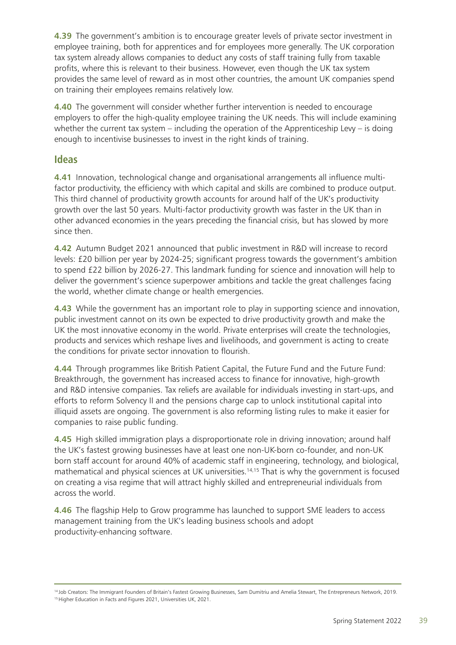**4.39** The government's ambition is to encourage greater levels of private sector investment in employee training, both for apprentices and for employees more generally. The UK corporation tax system already allows companies to deduct any costs of staff training fully from taxable profits, where this is relevant to their business. However, even though the UK tax system provides the same level of reward as in most other countries, the amount UK companies spend on training their employees remains relatively low.

**4.40** The government will consider whether further intervention is needed to encourage employers to offer the high-quality employee training the UK needs. This will include examining whether the current tax system – including the operation of the Apprenticeship Levy – is doing enough to incentivise businesses to invest in the right kinds of training.

#### **Ideas**

**4.41** Innovation, technological change and organisational arrangements all influence multifactor productivity, the efficiency with which capital and skills are combined to produce output. This third channel of productivity growth accounts for around half of the UK's productivity growth over the last 50 years. Multi-factor productivity growth was faster in the UK than in other advanced economies in the years preceding the financial crisis, but has slowed by more since then.

**4.42** Autumn Budget 2021 announced that public investment in R&D will increase to record levels: £20 billion per year by 2024-25; significant progress towards the government's ambition to spend £22 billion by 2026-27. This landmark funding for science and innovation will help to deliver the government's science superpower ambitions and tackle the great challenges facing the world, whether climate change or health emergencies.

**4.43** While the government has an important role to play in supporting science and innovation, public investment cannot on its own be expected to drive productivity growth and make the UK the most innovative economy in the world. Private enterprises will create the technologies, products and services which reshape lives and livelihoods, and government is acting to create the conditions for private sector innovation to flourish.

**4.44** Through programmes like British Patient Capital, the Future Fund and the Future Fund: Breakthrough, the government has increased access to finance for innovative, high-growth and R&D intensive companies. Tax reliefs are available for individuals investing in start-ups, and efforts to reform Solvency II and the pensions charge cap to unlock institutional capital into illiquid assets are ongoing. The government is also reforming listing rules to make it easier for companies to raise public funding.

**4.45** High skilled immigration plays a disproportionate role in driving innovation; around half the UK's fastest growing businesses have at least one non-UK-born co-founder, and non-UK born staff account for around 40% of academic staff in engineering, technology, and biological, mathematical and physical sciences at UK universities.<sup>14,15</sup> That is why the government is focused on creating a visa regime that will attract highly skilled and entrepreneurial individuals from across the world.

**4.46** The flagship Help to Grow programme has launched to support SME leaders to access management training from the UK's leading business schools and adopt productivity-enhancing software.

<sup>14</sup> Job Creators: The Immigrant Founders of Britain's Fastest Growing Businesses, Sam Dumitriu and Amelia Stewart, The Entrepreneurs Network, 2019. 15 Higher Education in Facts and Figures 2021, Universities UK, 2021.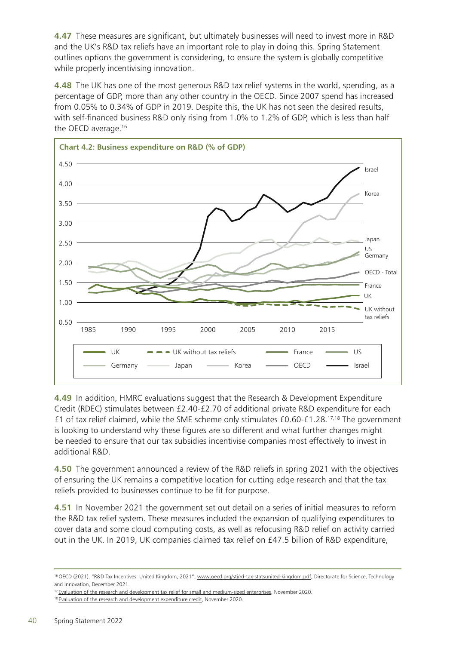**4.47** These measures are significant, but ultimately businesses will need to invest more in R&D and the UK's R&D tax reliefs have an important role to play in doing this. Spring Statement outlines options the government is considering, to ensure the system is globally competitive while properly incentivising innovation.

**4.48** The UK has one of the most generous R&D tax relief systems in the world, spending, as a percentage of GDP, more than any other country in the OECD. Since 2007 spend has increased from 0.05% to 0.34% of GDP in 2019. Despite this, the UK has not seen the desired results, with self-financed business R&D only rising from 1.0% to 1.2% of GDP, which is less than half the OECD average.16



**4.49** In addition, HMRC evaluations suggest that the Research & Development Expenditure Credit (RDEC) stimulates between £2.40-£2.70 of additional private R&D expenditure for each £1 of tax relief claimed, while the SME scheme only stimulates £0.60-£1.28.17,18 The government is looking to understand why these figures are so different and what further changes might be needed to ensure that our tax subsidies incentivise companies most effectively to invest in additional R&D.

**4.50** The government announced a review of the R&D reliefs in spring 2021 with the objectives of ensuring the UK remains a competitive location for cutting edge research and that the tax reliefs provided to businesses continue to be fit for purpose.

**4.51** In November 2021 the government set out detail on a series of initial measures to reform the R&D tax relief system. These measures included the expansion of qualifying expenditures to cover data and some cloud computing costs, as well as refocusing R&D relief on activity carried out in the UK. In 2019, UK companies claimed tax relief on £47.5 billion of R&D expenditure,

<sup>16</sup> OECD (2021). "R&D Tax Incentives: United Kingdom, 2021", [www.oecd.org/sti/rd-tax-statsunited-kingdom.pdf](http://www.oecd.org/sti/rd-tax-statsunited-kingdom.pdf), Directorate for Science, Technology and Innovation, December 2021.

<sup>&</sup>lt;sup>17</sup> [Evaluation of the research and development tax relief for small and medium-sized enterprises,](https://www.gov.uk/government/publications/evaluation-of-the-research-and-development-tax-relief-for-small-and-medium-sized-enterprises) November 2020.

<sup>&</sup>lt;sup>18</sup> [Evaluation of the research and development expenditure credit,](https://www.gov.uk/government/publications/evaluation-of-the-research-and-development-expenditure-credit) November 2020.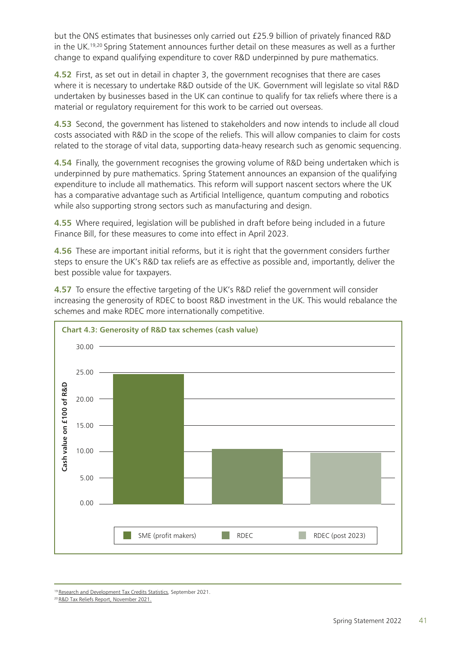but the ONS estimates that businesses only carried out £25.9 billion of privately financed R&D in the UK.19,20 Spring Statement announces further detail on these measures as well as a further change to expand qualifying expenditure to cover R&D underpinned by pure mathematics.

**4.52** First, as set out in detail in chapter 3, the government recognises that there are cases where it is necessary to undertake R&D outside of the UK. Government will legislate so vital R&D undertaken by businesses based in the UK can continue to qualify for tax reliefs where there is a material or regulatory requirement for this work to be carried out overseas.

**4.53** Second, the government has listened to stakeholders and now intends to include all cloud costs associated with R&D in the scope of the reliefs. This will allow companies to claim for costs related to the storage of vital data, supporting data-heavy research such as genomic sequencing.

**4.54** Finally, the government recognises the growing volume of R&D being undertaken which is underpinned by pure mathematics. Spring Statement announces an expansion of the qualifying expenditure to include all mathematics. This reform will support nascent sectors where the UK has a comparative advantage such as Artificial Intelligence, quantum computing and robotics while also supporting strong sectors such as manufacturing and design.

**4.55** Where required, legislation will be published in draft before being included in a future Finance Bill, for these measures to come into effect in April 2023.

**4.56** These are important initial reforms, but it is right that the government considers further steps to ensure the UK's R&D tax reliefs are as effective as possible and, importantly, deliver the best possible value for taxpayers.

**4.57** To ensure the effective targeting of the UK's R&D relief the government will consider increasing the generosity of RDEC to boost R&D investment in the UK. This would rebalance the schemes and make RDEC more internationally competitive.



<sup>&</sup>lt;sup>19</sup> [Research and Development Tax Credits Statistics](https://www.gov.uk/government/statistics/corporate-tax-research-and-development-tax-credit/research-and-development-tax-credits-statistics-september-2021), September 2021.

<sup>&</sup>lt;sup>20</sup> [R&D Tax Reliefs Report, November 2021.](https://www.gov.uk/government/publications/rd-tax-reliefs-report)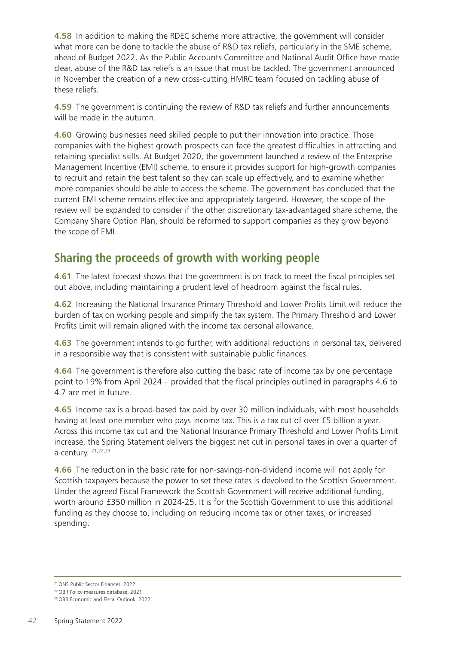**4.58** In addition to making the RDEC scheme more attractive, the government will consider what more can be done to tackle the abuse of R&D tax reliefs, particularly in the SME scheme, ahead of Budget 2022. As the Public Accounts Committee and National Audit Office have made clear, abuse of the R&D tax reliefs is an issue that must be tackled. The government announced in November the creation of a new cross-cutting HMRC team focused on tackling abuse of these reliefs.

**4.59** The government is continuing the review of R&D tax reliefs and further announcements will be made in the autumn.

**4.60** Growing businesses need skilled people to put their innovation into practice. Those companies with the highest growth prospects can face the greatest difficulties in attracting and retaining specialist skills. At Budget 2020, the government launched a review of the Enterprise Management Incentive (EMI) scheme, to ensure it provides support for high-growth companies to recruit and retain the best talent so they can scale up effectively, and to examine whether more companies should be able to access the scheme. The government has concluded that the current EMI scheme remains effective and appropriately targeted. However, the scope of the review will be expanded to consider if the other discretionary tax-advantaged share scheme, the Company Share Option Plan, should be reformed to support companies as they grow beyond the scope of EMI.

# **Sharing the proceeds of growth with working people**

**4.61** The latest forecast shows that the government is on track to meet the fiscal principles set out above, including maintaining a prudent level of headroom against the fiscal rules.

**4.62** Increasing the National Insurance Primary Threshold and Lower Profits Limit will reduce the burden of tax on working people and simplify the tax system. The Primary Threshold and Lower Profits Limit will remain aligned with the income tax personal allowance.

**4.63** The government intends to go further, with additional reductions in personal tax, delivered in a responsible way that is consistent with sustainable public finances.

**4.64** The government is therefore also cutting the basic rate of income tax by one percentage point to 19% from April 2024 – provided that the fiscal principles outlined in paragraphs 4.6 to 4.7 are met in future.

**4.65** Income tax is a broad-based tax paid by over 30 million individuals, with most households having at least one member who pays income tax. This is a tax cut of over £5 billion a year. Across this income tax cut and the National Insurance Primary Threshold and Lower Profits Limit increase, the Spring Statement delivers the biggest net cut in personal taxes in over a quarter of a century. 21,22,23

**4.66** The reduction in the basic rate for non-savings-non-dividend income will not apply for Scottish taxpayers because the power to set these rates is devolved to the Scottish Government. Under the agreed Fiscal Framework the Scottish Government will receive additional funding, worth around £350 million in 2024-25. It is for the Scottish Government to use this additional funding as they choose to, including on reducing income tax or other taxes, or increased spending.

<sup>21</sup> ONS Public Sector Finances, 2022.

<sup>22</sup> OBR Policy measures database, 2021.

<sup>23</sup> OBR Economic and Fiscal Outlook, 2022.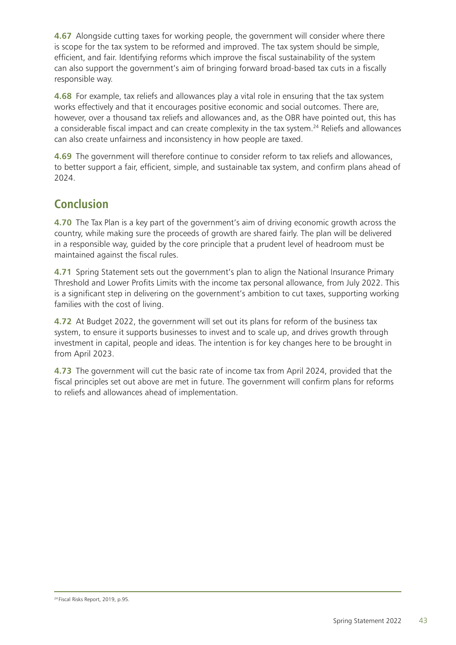**4.67** Alongside cutting taxes for working people, the government will consider where there is scope for the tax system to be reformed and improved. The tax system should be simple, efficient, and fair. Identifying reforms which improve the fiscal sustainability of the system can also support the government's aim of bringing forward broad-based tax cuts in a fiscally responsible way.

**4.68** For example, tax reliefs and allowances play a vital role in ensuring that the tax system works effectively and that it encourages positive economic and social outcomes. There are, however, over a thousand tax reliefs and allowances and, as the OBR have pointed out, this has a considerable fiscal impact and can create complexity in the tax system.<sup>24</sup> Reliefs and allowances can also create unfairness and inconsistency in how people are taxed.

**4.69** The government will therefore continue to consider reform to tax reliefs and allowances, to better support a fair, efficient, simple, and sustainable tax system, and confirm plans ahead of 2024.

# **Conclusion**

**4.70** The Tax Plan is a key part of the government's aim of driving economic growth across the country, while making sure the proceeds of growth are shared fairly. The plan will be delivered in a responsible way, guided by the core principle that a prudent level of headroom must be maintained against the fiscal rules.

**4.71** Spring Statement sets out the government's plan to align the National Insurance Primary Threshold and Lower Profits Limits with the income tax personal allowance, from July 2022. This is a significant step in delivering on the government's ambition to cut taxes, supporting working families with the cost of living.

**4.72** At Budget 2022, the government will set out its plans for reform of the business tax system, to ensure it supports businesses to invest and to scale up, and drives growth through investment in capital, people and ideas. The intention is for key changes here to be brought in from April 2023.

**4.73** The government will cut the basic rate of income tax from April 2024, provided that the fiscal principles set out above are met in future. The government will confirm plans for reforms to reliefs and allowances ahead of implementation.

<sup>24</sup> Fiscal Risks Report, 2019, p.95.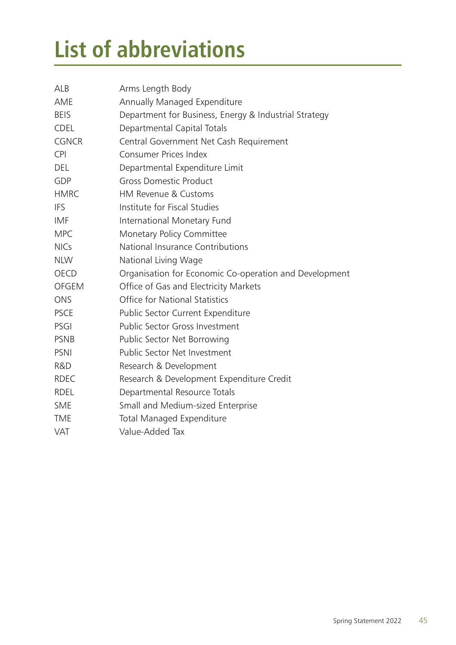# <span id="page-49-0"></span>**List of abbreviations**

| <b>ALB</b>   | Arms Length Body                                       |
|--------------|--------------------------------------------------------|
| AME          | Annually Managed Expenditure                           |
| <b>BEIS</b>  | Department for Business, Energy & Industrial Strategy  |
| <b>CDEL</b>  | Departmental Capital Totals                            |
| <b>CGNCR</b> | Central Government Net Cash Requirement                |
| <b>CPI</b>   | <b>Consumer Prices Index</b>                           |
| <b>DEL</b>   | Departmental Expenditure Limit                         |
| GDP          | <b>Gross Domestic Product</b>                          |
| <b>HMRC</b>  | HM Revenue & Customs                                   |
| <b>IFS</b>   | Institute for Fiscal Studies                           |
| <b>IMF</b>   | International Monetary Fund                            |
| <b>MPC</b>   | Monetary Policy Committee                              |
| <b>NICs</b>  | National Insurance Contributions                       |
| <b>NLW</b>   | National Living Wage                                   |
| <b>OECD</b>  | Organisation for Economic Co-operation and Development |
| <b>OFGEM</b> | Office of Gas and Electricity Markets                  |
| <b>ONS</b>   | <b>Office for National Statistics</b>                  |
| <b>PSCE</b>  | Public Sector Current Expenditure                      |
| PSGI         | Public Sector Gross Investment                         |
| <b>PSNB</b>  | Public Sector Net Borrowing                            |
| PSNI         | Public Sector Net Investment                           |
| R&D          | Research & Development                                 |
| <b>RDEC</b>  | Research & Development Expenditure Credit              |
| <b>RDEL</b>  | Departmental Resource Totals                           |
| <b>SME</b>   | Small and Medium-sized Enterprise                      |
| <b>TME</b>   | <b>Total Managed Expenditure</b>                       |
| <b>VAT</b>   | Value-Added Tax                                        |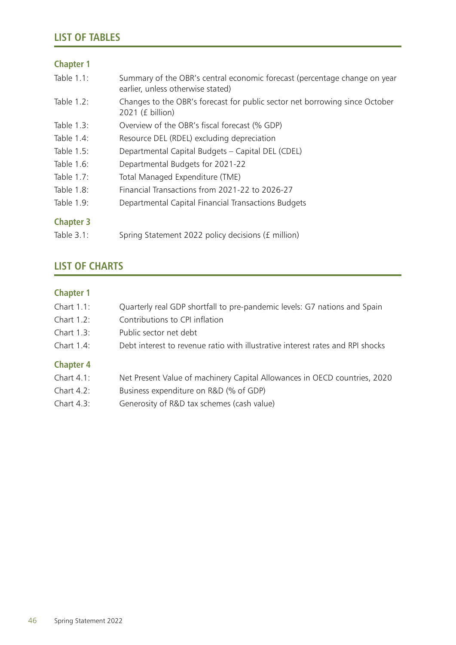#### <span id="page-50-0"></span>**Chapter 1**

| Table 1.1:       | Summary of the OBR's central economic forecast (percentage change on year<br>earlier, unless otherwise stated) |
|------------------|----------------------------------------------------------------------------------------------------------------|
| Table 1.2:       | Changes to the OBR's forecast for public sector net borrowing since October<br>2021 (£ billion)                |
| Table 1.3:       | Overview of the OBR's fiscal forecast (% GDP)                                                                  |
| Table 1.4:       | Resource DEL (RDEL) excluding depreciation                                                                     |
| Table 1.5:       | Departmental Capital Budgets - Capital DEL (CDEL)                                                              |
| Table 1.6:       | Departmental Budgets for 2021-22                                                                               |
| Table 1.7:       | Total Managed Expenditure (TME)                                                                                |
| Table 1.8:       | Financial Transactions from 2021-22 to 2026-27                                                                 |
| Table 1.9:       | Departmental Capital Financial Transactions Budgets                                                            |
| <b>Chapter 3</b> |                                                                                                                |
| Table 3.1:       | Spring Statement 2022 policy decisions (£ million)                                                             |

## **LIST OF CHARTS**

## **Chapter 1**

| Chart $1.1$ :    | Quarterly real GDP shortfall to pre-pandemic levels: G7 nations and Spain      |
|------------------|--------------------------------------------------------------------------------|
| Chart 1.2:       | Contributions to CPI inflation                                                 |
| Chart 1.3:       | Public sector net debt                                                         |
| Chart 1.4:       | Debt interest to revenue ratio with illustrative interest rates and RPI shocks |
| <b>Chapter 4</b> |                                                                                |
| Chart $4.1$ :    | Net Present Value of machinery Capital Allowances in OECD countries, 2020      |
| Chart 4.2:       | Business expenditure on R&D (% of GDP)                                         |

Chart 4.3: Generosity of R&D tax schemes (cash value)